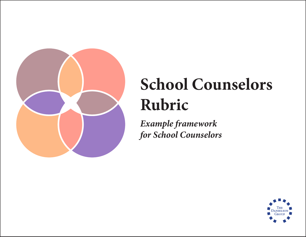

*Example framework for School Counselors*

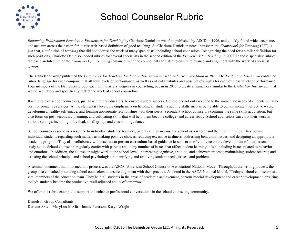

*Enhancing Professional Practice: A Framework for Teaching* by Charlotte Danielson was first published by ASCD in 1996, and quickly found wide acceptance and acclaim across the nation for its research-based definition of good teaching. As Charlotte Danielson notes, however, the *Framework for Teaching* (FfT) is just that, a definition of *teaching* that did not address the work of many specialists, including school counselors. Recognizing the need for a similar definition for such positions, Charlotte Danielson added rubrics for several specialists in the second edition of the *Framework for Teaching* in 2007. In those specialist rubrics, the basic architecture of the *Framework for Teaching* remained, with the components adjusted to ensure relevance and alignment with the work of specialist groups.

The Danielson Group published the *Framework for Teaching Evaluation Instrument in 2011 and a second edition in 2013.* The *Evaluation Instrument* contained rubric language for each component at all four levels of performance, as well as critical attributes and possible examples for each of those levels of performance. Four members of the Danielson Group, each with masters' degrees in counseling, began in 2013 to create a framework similar to the *Evaluation Instrument*, that would accurately and specifically reflect the work of school counselors.

It is the role of school counselors, just as with other educators, to ensure student success. Counselors not only respond to the immediate needs of students but also plan for proactive services. At the elementary level, the emphasis is on helping all students acquire skills such as being able to communicate in effective ways, developing a healthy self-image, and forming appropriate relationships with their peers. Secondary school counselors continue the same skills acquisition, but also focus on post-secondary planning, and cultivating skills that will help them become college- and career-ready. School counselors carry out their work in various settings, including individual, small group, and classroom guidance.

School counselors serve as a resource to individual students, teachers, parents and guardians, the school as a whole, and their communities. They counsel individual students regarding such matters as making positive choices, reducing excessive tardiness, addressing behavioral issues, and designing an appropriate academic program. They also collaborate with teachers to present curriculum-based guidance lessons or to offer advice on the development of interpersonal or study skills. School counselors regularly confer with parents about any number of issues that affect student learning, often including issues related to behavior and emotions. In addition, the counselor might work at the school level, interpreting cognitive, aptitude, and achievement tests; maintaining student records; and assisting the school principal and school psychologist in identifying and resolving student needs, issues, and problems.

A seminal document that informed this process was the ASCA (American School Counselor Association) National Model. Throughout the writing process, the group also consulted practicing school counselors to ensure alignment with their practice. As noted in the ASCA National Model, "Today's school counselors are vital members of the education team. They help all students in the areas of academic achievement, personal/social development and career development, ensuring today's students become the productive, well-adjusted adults of tomorrow."

We offer this rubric example to support and enhance professional conversations in the school counseling community.

Danielson Group Consultants: Darlene Axtell, MaryLou McGirr, Joanie Peterson, Karyn Wright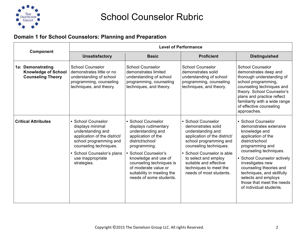

#### **Domain 1 for School Counselors: Planning and Preparation**

| <b>Component</b>                                                            | <b>Level of Performance</b>                                                                                                                                                                                     |                                                                                                                                                                                                                                                                                       |                                                                                                                                                                                                                                                                                        |                                                                                                                                                                                                                                                                                                                                                |  |
|-----------------------------------------------------------------------------|-----------------------------------------------------------------------------------------------------------------------------------------------------------------------------------------------------------------|---------------------------------------------------------------------------------------------------------------------------------------------------------------------------------------------------------------------------------------------------------------------------------------|----------------------------------------------------------------------------------------------------------------------------------------------------------------------------------------------------------------------------------------------------------------------------------------|------------------------------------------------------------------------------------------------------------------------------------------------------------------------------------------------------------------------------------------------------------------------------------------------------------------------------------------------|--|
|                                                                             | <b>Unsatisfactory</b>                                                                                                                                                                                           | <b>Basic</b>                                                                                                                                                                                                                                                                          | <b>Proficient</b>                                                                                                                                                                                                                                                                      | <b>Distinguished</b>                                                                                                                                                                                                                                                                                                                           |  |
| 1a: Demonstrating<br><b>Knowledge of School</b><br><b>Counseling Theory</b> | <b>School Counselor</b><br>demonstrates little or no<br>understanding of school<br>programming, counseling<br>techniques, and theory.                                                                           | <b>School Counselor</b><br>demonstrates limited<br>understanding of school<br>programming, counseling<br>techniques, and theory.                                                                                                                                                      | <b>School Counselor</b><br>demonstrates solid<br>understanding of school<br>programming, counseling<br>techniques, and theory.                                                                                                                                                         | <b>School Counselor</b><br>demonstrates deep and<br>thorough understanding of<br>school programming,<br>counseling techniques and<br>theory. School Counselor's<br>plans and practice reflect<br>familiarity with a wide range<br>of effective counseling<br>approaches.                                                                       |  |
| <b>Critical Attributes</b>                                                  | • School Counselor<br>displays minimal<br>understanding and<br>application of the district/<br>school programming and<br>counseling techniques.<br>School Counselor's plans<br>use inappropriate<br>strategies. | • School Counselor<br>displays rudimentary<br>understanding and<br>application of the<br>district/school<br>programming.<br>• School Counselor's<br>knowledge and use of<br>counseling techniques is<br>of moderate value or<br>suitability in meeting the<br>needs of some students. | • School Counselor<br>demonstrates solid<br>understanding and<br>application of the district/<br>school programming and<br>counseling techniques.<br>• School Counselor is able<br>to select and employ<br>suitable and effective<br>techniques to meet the<br>needs of most students. | • School Counselor<br>demonstrates extensive<br>knowledge and<br>application of the<br>district/school<br>programming and<br>counseling techniques.<br>• School Counselor actively<br>investigates new<br>counseling theories and<br>techniques, and skillfully<br>selects and employs<br>those that meet the needs<br>of individual students. |  |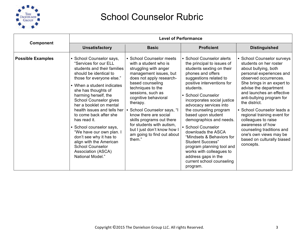

|                          |                                                                                                                                                                                                                                                                                                                                                                                                                                                                                                                                              |                                                                                                                                                                                                                                                                                                                                                                                                                             | <b>Level of Performance</b>                                                                                                                                                                                                                                                                                                                                                                                                                                                                                                                                           |                                                                                                                                                                                                                                                                                                                                                                                                                                                                               |
|--------------------------|----------------------------------------------------------------------------------------------------------------------------------------------------------------------------------------------------------------------------------------------------------------------------------------------------------------------------------------------------------------------------------------------------------------------------------------------------------------------------------------------------------------------------------------------|-----------------------------------------------------------------------------------------------------------------------------------------------------------------------------------------------------------------------------------------------------------------------------------------------------------------------------------------------------------------------------------------------------------------------------|-----------------------------------------------------------------------------------------------------------------------------------------------------------------------------------------------------------------------------------------------------------------------------------------------------------------------------------------------------------------------------------------------------------------------------------------------------------------------------------------------------------------------------------------------------------------------|-------------------------------------------------------------------------------------------------------------------------------------------------------------------------------------------------------------------------------------------------------------------------------------------------------------------------------------------------------------------------------------------------------------------------------------------------------------------------------|
| Component                | <b>Unsatisfactory</b>                                                                                                                                                                                                                                                                                                                                                                                                                                                                                                                        | <b>Basic</b>                                                                                                                                                                                                                                                                                                                                                                                                                | <b>Proficient</b>                                                                                                                                                                                                                                                                                                                                                                                                                                                                                                                                                     | <b>Distinguished</b>                                                                                                                                                                                                                                                                                                                                                                                                                                                          |
| <b>Possible Examples</b> | • School Counselor says,<br>"Services for our ELL<br>students and their families<br>should be identical to<br>those for everyone else."<br>• When a student indicates<br>she has thoughts of<br>harming herself, the<br><b>School Counselor gives</b><br>her a booklet on mental<br>health issues and tells her<br>to come back after she<br>has read it.<br>• School counselor says,<br>"We have our own plan. I<br>don't see why it has to<br>align with the American<br><b>School Counselor</b><br>Association (ASCA)<br>National Model." | • School Counselor meets<br>with a student who is<br>struggling with anger<br>management issues, but<br>does not apply research-<br>based counseling<br>techniques to the<br>sessions, such as<br>cognitive behavioral<br>therapy.<br>• School Counselor says, "I<br>know there are social<br>skills programs out there<br>for students with autism.<br>but I just don't know how I<br>am going to find out about<br>them." | • School Counselor alerts<br>the principal to issues of<br>students sexting on their<br>phones and offers<br>suggestions related to<br>positive interventions for<br>students.<br>• School Counselor<br>incorporates social justice<br>advocacy services into<br>the counseling program<br>based upon student<br>demographics and needs.<br>• School Counselor<br>downloads the ASCA<br>"Mindsets & Behaviors for<br><b>Student Success"</b><br>program planning tool and<br>works with colleagues to<br>address gaps in the<br>current school counseling<br>program. | • School Counselor surveys<br>students on her roster<br>about bullying, both<br>personal experiences and<br>observed occurrences.<br>She brings in an expert to<br>advise the department<br>and launches an effective<br>anti-bullying program for<br>the district.<br>• School Counselor leads a<br>regional training event for<br>colleagues to raise<br>awareness of how<br>counseling traditions and<br>one's own views may be<br>based on culturally biased<br>concepts. |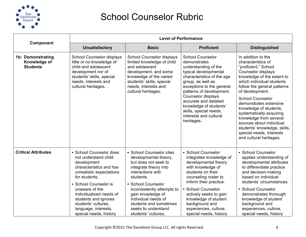

|                                                      | <b>Level of Performance</b>                                                                                                                                                                                                                                                                                   |                                                                                                                                                                                                                                                                                                              |                                                                                                                                                                                                                                                                                                                                                 |                                                                                                                                                                                                                                                                                                                                                                                                                                                             |
|------------------------------------------------------|---------------------------------------------------------------------------------------------------------------------------------------------------------------------------------------------------------------------------------------------------------------------------------------------------------------|--------------------------------------------------------------------------------------------------------------------------------------------------------------------------------------------------------------------------------------------------------------------------------------------------------------|-------------------------------------------------------------------------------------------------------------------------------------------------------------------------------------------------------------------------------------------------------------------------------------------------------------------------------------------------|-------------------------------------------------------------------------------------------------------------------------------------------------------------------------------------------------------------------------------------------------------------------------------------------------------------------------------------------------------------------------------------------------------------------------------------------------------------|
| Component                                            | <b>Unsatisfactory</b>                                                                                                                                                                                                                                                                                         | <b>Basic</b>                                                                                                                                                                                                                                                                                                 | <b>Proficient</b>                                                                                                                                                                                                                                                                                                                               | <b>Distinguished</b>                                                                                                                                                                                                                                                                                                                                                                                                                                        |
| 1b: Demonstrating<br>Knowledge of<br><b>Students</b> | <b>School Counselor displays</b><br>little or no knowledge of<br>child and adolescent<br>development nor of<br>students' skills, special<br>needs, interests and<br>cultural heritages. .                                                                                                                     | <b>School Counselor displays</b><br>limited knowledge of child<br>and adolescent<br>development. and some<br>knowledge of the varied<br>students' skills, special<br>needs, interests and<br>cultural heritages.                                                                                             | <b>School Counselor</b><br>demonstrates<br>understanding of the<br>typical developmental<br>characteristics of the age<br>group, as well as<br>exceptions to the general<br>patterns of development.<br>Counselor displays<br>accurate and detailed<br>knowledge of students'<br>skills, special needs,<br>interests and cultural<br>heritages. | In addition to the<br>characteristics of<br>"proficient," School<br>Counselor displays<br>knowledge of the extent to<br>which individual students<br>follow the general patterns<br>of development.<br><b>School Counselor</b><br>demonstrates extensive<br>knowledge of students,<br>systematically acquiring<br>knowledge from several<br>sources about individual<br>students' knowledge, skills,<br>special needs, interests<br>and cultural heritages. |
| <b>Critical Attributes</b>                           | • School Counselor does<br>not understand child<br>development<br>characteristics and has<br>unrealistic expectations<br>for students.<br>• School Counselor is<br>unaware of the<br>individualized needs of<br>students and ignores<br>students' cultures.<br>language, interests,<br>special needs, history | • School Counselor cites<br>developmental theory,<br>but does not seek to<br>integrate theory into<br>interactions with<br>students.<br>• School Counselor<br>inconsistently attempts to<br>gain knowledge of<br>individual needs of<br>students and sometimes<br>seeks to understand<br>students' cultures, | · School Counselor<br>integrates knowledge of<br>developmental theory<br>with knowledge of<br>students on their<br>counseling roster to<br>inform their practice.<br><b>School Counselor</b><br>actively seeks to gain<br>knowledge of student<br>background and<br>experiences, culture,<br>special needs, history                             | • School Counselor<br>applies understanding of<br>developmental attributes<br>to differentiate practice<br>and decision-making<br>based on individual<br>students' circumstances.<br>• School Counselor<br>demonstrates thorough<br>knowledge of student<br>background and<br>experiences, culture,<br>special needs, history                                                                                                                               |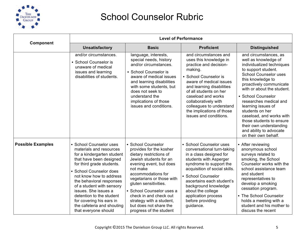

|                          |                                                                                                                                                                                                                                                                                                                                                                                               |                                                                                                                                                                                                                                                                                                                                                               | <b>Level of Performance</b>                                                                                                                                                                                                                                                                                                      |                                                                                                                                                                                                                                                                                                                                                                                                                                                |
|--------------------------|-----------------------------------------------------------------------------------------------------------------------------------------------------------------------------------------------------------------------------------------------------------------------------------------------------------------------------------------------------------------------------------------------|---------------------------------------------------------------------------------------------------------------------------------------------------------------------------------------------------------------------------------------------------------------------------------------------------------------------------------------------------------------|----------------------------------------------------------------------------------------------------------------------------------------------------------------------------------------------------------------------------------------------------------------------------------------------------------------------------------|------------------------------------------------------------------------------------------------------------------------------------------------------------------------------------------------------------------------------------------------------------------------------------------------------------------------------------------------------------------------------------------------------------------------------------------------|
| Component                | <b>Unsatisfactory</b>                                                                                                                                                                                                                                                                                                                                                                         | <b>Basic</b>                                                                                                                                                                                                                                                                                                                                                  | <b>Proficient</b>                                                                                                                                                                                                                                                                                                                | <b>Distinguished</b>                                                                                                                                                                                                                                                                                                                                                                                                                           |
|                          | and/or circumstances.<br>• School Counselor is<br>unaware of medical<br>issues and learning<br>disabilities of students.                                                                                                                                                                                                                                                                      | language, interests,<br>special needs, history<br>and/or circumstances.<br>• School Counselor is<br>aware of medical issues<br>and learning disabilities<br>with some students, but<br>does not seek to<br>understand the<br>implications of those<br>issues and conditions.                                                                                  | and circumstances and<br>uses this knowledge in<br>practice and decision-<br>making.<br>• School Counselor is<br>aware of medical issues<br>and learning disabilities<br>of all students on her<br>caseload and works<br>collaboratively with<br>colleagues to understand<br>the implications of those<br>issues and conditions. | and circumstances, as<br>well as knowledge of<br>individualized techniques<br>to support student.<br><b>School Counselor uses</b><br>this knowledge to<br>proactively communicate<br>with or about the student.<br>• School Counselor<br>researches medical and<br>learning issues of<br>students on her<br>caseload, and works with<br>those students to ensure<br>their own understanding<br>and ability to advocate<br>on their own behalf. |
| <b>Possible Examples</b> | • School Counselor uses<br>materials and resources<br>for a kindergarten student<br>that have been designed<br>for third grade students.<br>· School Counselor does<br>not know how to address<br>the behavioral responses<br>of a student with sensory<br>issues. She issues a<br>detention to the student<br>for covering his ears in<br>the cafeteria and shouting<br>that everyone should | • School Counselor<br>provides for the kosher<br>dietary restrictions of<br>Jewish students for an<br>evening event, but does<br>not make<br>accommodations for<br>vegetarians or those with<br>gluten sensitivities.<br>• School Counselor uses a<br>check in and check out<br>strategy with a student,<br>but does not share the<br>progress of the student | • School Counselor uses<br>conversational turn-taking<br>in a class designed for<br>students with Asperger<br>syndrome to support the<br>acquisition of social skills.<br>• School Counselor<br>ascertains each student's<br>background knowledge<br>about the college<br>application process<br>before providing<br>guidance.   | • After reviewing<br>anonymous school<br>surveys related to<br>smoking, the School<br>Counselor works with the<br>school assistance team<br>and student<br>representatives to<br>develop a smoking<br>cessation program.<br>• The School Counselor<br>holds a meeting with a<br>student and his mother to<br>discuss the recent                                                                                                                |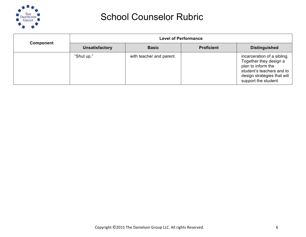

| Component |                       |                          | <b>Level of Performance</b> |                                                                                                                                                                 |  |  |  |
|-----------|-----------------------|--------------------------|-----------------------------|-----------------------------------------------------------------------------------------------------------------------------------------------------------------|--|--|--|
|           | <b>Unsatisfactory</b> | <b>Basic</b>             | <b>Proficient</b>           | <b>Distinguished</b>                                                                                                                                            |  |  |  |
|           | "Shut up."            | with teacher and parent. |                             | incarceration of a sibling.<br>Together they design a<br>plan to inform the<br>student's teachers and to<br>design strategies that will<br>support the student. |  |  |  |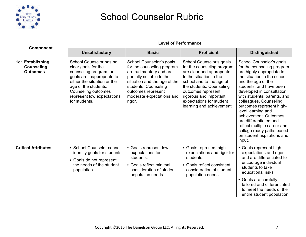

| Component                                                |                                                                                                                                                                                                                                     | <b>Level of Performance</b>                                                                                                                                                                                                         |                                                                                                                                                                                                                                                                                 |                                                                                                                                                                                                                                                                                                                                                                                                                                                                    |
|----------------------------------------------------------|-------------------------------------------------------------------------------------------------------------------------------------------------------------------------------------------------------------------------------------|-------------------------------------------------------------------------------------------------------------------------------------------------------------------------------------------------------------------------------------|---------------------------------------------------------------------------------------------------------------------------------------------------------------------------------------------------------------------------------------------------------------------------------|--------------------------------------------------------------------------------------------------------------------------------------------------------------------------------------------------------------------------------------------------------------------------------------------------------------------------------------------------------------------------------------------------------------------------------------------------------------------|
|                                                          | <b>Unsatisfactory</b>                                                                                                                                                                                                               | <b>Basic</b>                                                                                                                                                                                                                        | <b>Proficient</b>                                                                                                                                                                                                                                                               | <b>Distinguished</b>                                                                                                                                                                                                                                                                                                                                                                                                                                               |
| 1c: Establishing<br><b>Counseling</b><br><b>Outcomes</b> | School Counselor has no<br>clear goals for the<br>counseling program, or<br>goals are inappropriate to<br>either the situation or the<br>age of the students.<br>Counseling outcomes<br>represent low expectations<br>for students. | School Counselor's goals<br>for the counseling program<br>are rudimentary and are<br>partially suitable to the<br>situation and the age of the<br>students. Counseling<br>outcomes represent<br>moderate expectations and<br>rigor. | School Counselor's goals<br>for the counseling program<br>are clear and appropriate<br>to the situation in the<br>school and to the age of<br>the students. Counseling<br>outcomes represent<br>rigorous and important<br>expectations for student<br>learning and achievement. | School Counselor's goals<br>for the counseling program<br>are highly appropriate to<br>the situation in the school<br>and the age of the<br>students, and have been<br>developed in consultation<br>with students, parents, and<br>colleagues. Counseling<br>outcomes represent high-<br>level learning and<br>achievement. Outcomes<br>are differentiated and<br>reflect multiple career and<br>college ready paths based<br>on student aspirations and<br>input. |
| <b>Critical Attributes</b>                               | • School Counselor cannot<br>identify goals for students.<br>• Goals do not represent<br>the needs of the student<br>population.                                                                                                    | • Goals represent low<br>expectations for<br>students.<br>• Goals reflect minimal<br>consideration of student<br>population needs.                                                                                                  | • Goals represent high<br>expectations and rigor for<br>students.<br>• Goals reflect consistent<br>consideration of student<br>population needs.                                                                                                                                | • Goals represent high<br>expectations and rigor<br>and are differentiated to<br>encourage individual<br>students to take<br>educational risks.<br>• Goals are carefully<br>tailored and differentiated<br>to meet the needs of the<br>entire student population.                                                                                                                                                                                                  |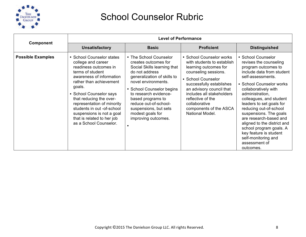

|                          |                                                                                                                                                                                                                                                                                                                                                                      |                                                                                                                                                                                                                                                                                                                               | <b>Level of Performance</b>                                                                                                                                                                                                                                                                           |                                                                                                                                                                                                                                                                                                                                                                                                                                                                            |  |
|--------------------------|----------------------------------------------------------------------------------------------------------------------------------------------------------------------------------------------------------------------------------------------------------------------------------------------------------------------------------------------------------------------|-------------------------------------------------------------------------------------------------------------------------------------------------------------------------------------------------------------------------------------------------------------------------------------------------------------------------------|-------------------------------------------------------------------------------------------------------------------------------------------------------------------------------------------------------------------------------------------------------------------------------------------------------|----------------------------------------------------------------------------------------------------------------------------------------------------------------------------------------------------------------------------------------------------------------------------------------------------------------------------------------------------------------------------------------------------------------------------------------------------------------------------|--|
| Component                | <b>Unsatisfactory</b>                                                                                                                                                                                                                                                                                                                                                | <b>Basic</b>                                                                                                                                                                                                                                                                                                                  | <b>Proficient</b>                                                                                                                                                                                                                                                                                     | <b>Distinguished</b>                                                                                                                                                                                                                                                                                                                                                                                                                                                       |  |
| <b>Possible Examples</b> | • School Counselor states<br>college and career<br>readiness outcomes in<br>terms of student<br>awareness of information<br>rather than achievement<br>goals.<br>• School Counselor says<br>that reducing the over-<br>representation of minority<br>students in out -of-school<br>suspensions is not a goal<br>that is related to her job<br>as a School Counselor. | • The School Counselor<br>creates outcomes for<br>Social Skills learning that<br>do not address<br>generalization of skills to<br>novel environments.<br>• School Counselor begins<br>to research evidence-<br>based programs to<br>reduce out-of-school-<br>suspensions, but sets<br>modest goals for<br>improving outcomes. | • School Counselor works<br>with students to establish<br>learning outcomes for<br>counseling sessions.<br>• School Counselor<br>successfully establishes<br>an advisory council that<br>includes all stakeholders<br>reflective of the<br>collaborative<br>components of the ASCA<br>National Model. | • School Counselor<br>revises the counseling<br>program outcomes to<br>include data from student<br>self-assessments.<br>• School Counselor works<br>collaboratively with<br>administration,<br>colleagues, and student<br>leaders to set goals for<br>reducing out-of-school<br>suspensions. The goals<br>are research-based and<br>aligned to the district and<br>school program goals. A<br>key feature is student<br>self-monitoring and<br>assessment of<br>outcomes. |  |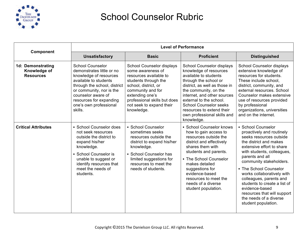

|                                                       | <b>Level of Performance</b>                                                                                                                                                                                                                               |                                                                                                                                                                                                                                            |                                                                                                                                                                                                                                                                                                                                      |                                                                                                                                                                                                                                                                                                                                                                                                                                    |  |
|-------------------------------------------------------|-----------------------------------------------------------------------------------------------------------------------------------------------------------------------------------------------------------------------------------------------------------|--------------------------------------------------------------------------------------------------------------------------------------------------------------------------------------------------------------------------------------------|--------------------------------------------------------------------------------------------------------------------------------------------------------------------------------------------------------------------------------------------------------------------------------------------------------------------------------------|------------------------------------------------------------------------------------------------------------------------------------------------------------------------------------------------------------------------------------------------------------------------------------------------------------------------------------------------------------------------------------------------------------------------------------|--|
| Component                                             | <b>Unsatisfactory</b>                                                                                                                                                                                                                                     | <b>Basic</b>                                                                                                                                                                                                                               | <b>Proficient</b>                                                                                                                                                                                                                                                                                                                    | <b>Distinguished</b>                                                                                                                                                                                                                                                                                                                                                                                                               |  |
| 1d: Demonstrating<br>Knowledge of<br><b>Resources</b> | <b>School Counselor</b><br>demonstrates little or no<br>knowledge of resources<br>available to students<br>through the school, district<br>or community, nor is the<br>counselor aware of<br>resources for expanding<br>one's own professional<br>skills. | School Counselor displays<br>some awareness of<br>resources available to<br>students through the<br>school, district, or<br>community and for<br>extending one's<br>professional skills but does<br>not seek to expand their<br>knowledge. | School Counselor displays<br>knowledge of resources<br>available to students<br>through the school or<br>district, as well as those in<br>the community, on the<br>internet, and other sources<br>external to the school.<br><b>School Counselor seeks</b><br>resources to extend their<br>own professional skills and<br>knowledge. | School Counselor displays<br>extensive knowledge of<br>resources for students.<br>These include school,<br>district, community, and<br>external resources. School<br>Counselor makes extensive<br>use of resources provided<br>by professional<br>organizations, universities<br>and on the internet.                                                                                                                              |  |
| <b>Critical Attributes</b>                            | • School Counselor does<br>not seek resources<br>outside the district to<br>expand his/her<br>knowledge.<br>• School Counselor is<br>unable to suggest or<br>identify resources that<br>meet the needs of<br>students.                                    | • School Counselor<br>sometimes seeks<br>resources outside the<br>district to expand his/her<br>knowledge.<br>• School Counselor has<br>limited suggestions for<br>resources to meet the<br>needs of students.                             | • School Counselor knows<br>how to gain access to<br>resources outside the<br>district and effectively<br>shares them with<br>students and parents.<br>• The School Counselor<br>makes detailed<br>suggestions for<br>evidence-based<br>resources to meet the<br>needs of a diverse<br>student population.                           | • School Counselor<br>proactively and routinely<br>seeks resources outside<br>the district and makes<br>extensive effort to share<br>with students, colleagues,<br>parents and all<br>community stakeholders.<br>• The School Counselor<br>works collaboratively with<br>colleagues, parents and<br>students to create a list of<br>evidence-based<br>resources that will support<br>the needs of a diverse<br>student population. |  |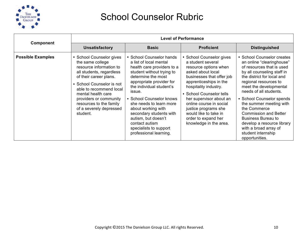

|                          | <b>Level of Performance</b>                                                                                                                                                                                                                                                                             |                                                                                                                                                                                                                                                                                                                                                                                                            |                                                                                                                                                                                                                                                                                                                                                                 |                                                                                                                                                                                                                                                                                                                                                                                                                                                                   |  |
|--------------------------|---------------------------------------------------------------------------------------------------------------------------------------------------------------------------------------------------------------------------------------------------------------------------------------------------------|------------------------------------------------------------------------------------------------------------------------------------------------------------------------------------------------------------------------------------------------------------------------------------------------------------------------------------------------------------------------------------------------------------|-----------------------------------------------------------------------------------------------------------------------------------------------------------------------------------------------------------------------------------------------------------------------------------------------------------------------------------------------------------------|-------------------------------------------------------------------------------------------------------------------------------------------------------------------------------------------------------------------------------------------------------------------------------------------------------------------------------------------------------------------------------------------------------------------------------------------------------------------|--|
| Component                | <b>Unsatisfactory</b>                                                                                                                                                                                                                                                                                   | <b>Basic</b>                                                                                                                                                                                                                                                                                                                                                                                               | <b>Proficient</b>                                                                                                                                                                                                                                                                                                                                               | <b>Distinguished</b>                                                                                                                                                                                                                                                                                                                                                                                                                                              |  |
| <b>Possible Examples</b> | • School Counselor gives<br>the same college<br>resource information to<br>all students, regardless<br>of their career plans.<br>• School Counselor is not<br>able to recommend local<br>mental health care<br>providers or community<br>resources to the family<br>of a severely depressed<br>student. | • School Counselor hands<br>a list of local mental<br>health care providers to a<br>student without trying to<br>determine the most<br>appropriate provider for<br>the individual student's<br>issue.<br>• School Counselor knows<br>she needs to learn more<br>about working with<br>secondary students with<br>autism, but doesn't<br>contact autism<br>specialists to support<br>professional learning. | • School Counselor gives<br>a student several<br>resource options when<br>asked about local<br>businesses that offer job<br>apprenticeships in the<br>hospitality industry.<br>• School Counselor tells<br>her supervisor about an<br>online course in social<br>justice programs she<br>would like to take in<br>order to expand her<br>knowledge in the area. | • School Counselor creates<br>an online "clearinghouse"<br>of resources that is used<br>by all counseling staff in<br>the district for local and<br>regional resources to<br>meet the developmental<br>needs of all students.<br>• School Counselor spends<br>the summer meeting with<br>the Commerce<br><b>Commission and Better</b><br><b>Business Bureau to</b><br>develop a resource library<br>with a broad array of<br>student internship<br>opportunities. |  |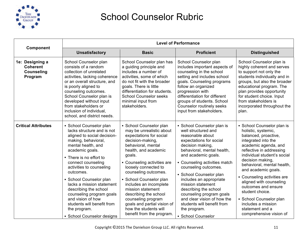

| Component                                                          | <b>Level of Performance</b>                                                                                                                                                                                                                                                                                                                                                                                                                                  |                                                                                                                                                                                                                                                                                                                                                                                                                                                         |                                                                                                                                                                                                                                                                                                                                                                                                                                                                       |                                                                                                                                                                                                                                                                                                                                                                                                                                                                 |
|--------------------------------------------------------------------|--------------------------------------------------------------------------------------------------------------------------------------------------------------------------------------------------------------------------------------------------------------------------------------------------------------------------------------------------------------------------------------------------------------------------------------------------------------|---------------------------------------------------------------------------------------------------------------------------------------------------------------------------------------------------------------------------------------------------------------------------------------------------------------------------------------------------------------------------------------------------------------------------------------------------------|-----------------------------------------------------------------------------------------------------------------------------------------------------------------------------------------------------------------------------------------------------------------------------------------------------------------------------------------------------------------------------------------------------------------------------------------------------------------------|-----------------------------------------------------------------------------------------------------------------------------------------------------------------------------------------------------------------------------------------------------------------------------------------------------------------------------------------------------------------------------------------------------------------------------------------------------------------|
|                                                                    | <b>Unsatisfactory</b>                                                                                                                                                                                                                                                                                                                                                                                                                                        | <b>Basic</b>                                                                                                                                                                                                                                                                                                                                                                                                                                            | <b>Proficient</b>                                                                                                                                                                                                                                                                                                                                                                                                                                                     | <b>Distinguished</b>                                                                                                                                                                                                                                                                                                                                                                                                                                            |
| 1e: Designing a<br><b>Coherent</b><br><b>Counseling</b><br>Program | School Counselor plan<br>consists of a random<br>collection of unrelated<br>activities, lacking coherence<br>or an overall structure, and<br>is poorly aligned to<br>counseling outcomes.<br>School Counselor plan is<br>developed without input<br>from stakeholders or<br>inclusion of individual,<br>school, and district needs.                                                                                                                          | School Counselor plan has<br>a guiding principle and<br>includes a number of<br>activities, some of which<br>do not fit with the broader<br>goals. There is little<br>differentiation for students.<br><b>School Counselor seeks</b><br>minimal input from<br>stakeholders.                                                                                                                                                                             | School Counselor plan<br>includes important aspects of<br>counseling in the school<br>setting and includes school<br>goals. Counseling programs<br>follow an organized<br>progression with<br>differentiation for different<br>groups of students. School<br>Counselor routinely seeks<br>input from stakeholders.                                                                                                                                                    | School Counselor plan is<br>highly coherent and serves<br>to support not only the<br>students individually and in<br>groups, but also the broader<br>educational program. The<br>plan provides opportunity<br>for student choice. Input<br>from stakeholders is<br>incorporated throughout the<br>plan.                                                                                                                                                         |
| <b>Critical Attributes</b>                                         | • School Counselor plan<br>lacks structure and is not<br>aligned to social decision-<br>making, behavioral,<br>mental health, and<br>academic goals.<br>• There is no effort to<br>connect counseling<br>activities to counseling<br>outcomes.<br>• School Counselor plan<br>lacks a mission statement<br>describing the school<br>counseling program goals<br>and vision of how<br>students will benefit from<br>the program.<br>• School Counselor designs | • School Counselor plan<br>may be unrealistic about<br>expectations for social<br>decision-making,<br>behavioral, mental<br>health, and academic<br>goals.<br>• Counseling activities are<br>loosely connected to<br>counseling outcomes.<br>• School Counselor plan<br>includes an incomplete<br>mission statement<br>describing the school<br>counseling program<br>goals and partial vision of<br>how the students will<br>benefit from the program. | • School Counselor plan is<br>well structured and<br>reasonable about<br>expectations for social<br>decision making,<br>behavioral, mental health,<br>and academic goals.<br>• Counseling activities match<br>counseling outcomes.<br>• School Counselor plan<br>includes an appropriate<br>mission statement<br>describing the school<br>counseling program goals<br>and clear vision of how the<br>students will benefit from<br>the program.<br>• School Counselor | • School Counselor plan is<br>holistic, systemic,<br>balanced, proactive,<br>integrated into the<br>academic agenda, and<br>reflective in addressing<br>individual student's social<br>decision making,<br>behavioral, mental health,<br>and academic goals.<br>• Counseling activities are<br>aligned with counseling<br>outcomes and ensure<br>student choice.<br>• School Counselor plan<br>includes a mission<br>statement and a<br>comprehensive vision of |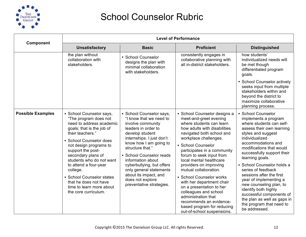

| Component                | <b>Level of Performance</b>                                                                                                                                                                                                                                                                                                                                                                               |                                                                                                                                                                                                                                                                                                                                                                                 |                                                                                                                                                                                                                                                                                                                                                                                                                                                                                                                                                                     |                                                                                                                                                                                                                                                                                                                                                                                                                                                                                                                     |
|--------------------------|-----------------------------------------------------------------------------------------------------------------------------------------------------------------------------------------------------------------------------------------------------------------------------------------------------------------------------------------------------------------------------------------------------------|---------------------------------------------------------------------------------------------------------------------------------------------------------------------------------------------------------------------------------------------------------------------------------------------------------------------------------------------------------------------------------|---------------------------------------------------------------------------------------------------------------------------------------------------------------------------------------------------------------------------------------------------------------------------------------------------------------------------------------------------------------------------------------------------------------------------------------------------------------------------------------------------------------------------------------------------------------------|---------------------------------------------------------------------------------------------------------------------------------------------------------------------------------------------------------------------------------------------------------------------------------------------------------------------------------------------------------------------------------------------------------------------------------------------------------------------------------------------------------------------|
|                          | <b>Unsatisfactory</b>                                                                                                                                                                                                                                                                                                                                                                                     | <b>Basic</b>                                                                                                                                                                                                                                                                                                                                                                    | <b>Proficient</b>                                                                                                                                                                                                                                                                                                                                                                                                                                                                                                                                                   | <b>Distinguished</b>                                                                                                                                                                                                                                                                                                                                                                                                                                                                                                |
|                          | the plan without<br>collaboration with<br>stakeholders.                                                                                                                                                                                                                                                                                                                                                   | • School Counselor<br>designs the plan with<br>minimal collaboration<br>with stakeholders.                                                                                                                                                                                                                                                                                      | consistently engages in<br>collaborative planning with<br>all in-district stakeholders.                                                                                                                                                                                                                                                                                                                                                                                                                                                                             | how students'<br>individualized needs will<br>be met though<br>differentiated program<br>goals.<br>• School Counselor actively<br>seeks input from multiple<br>stakeholders within and<br>beyond the district to<br>maximize collaborative<br>planning process.                                                                                                                                                                                                                                                     |
| <b>Possible Examples</b> | • School Counselor says,<br>"The program does not<br>need to address academic<br>goals; that is the job of<br>their teachers."<br>• School Counselor does<br>not design programs to<br>support the post-<br>secondary plans of<br>students who do not want<br>to attend a four-year<br>college.<br>• School Counselor states<br>that he does not have<br>time to learn more about<br>the core curriculum. | • School Counselor says,<br>"I know that we need to<br>involve community<br>leaders in order to<br>develop student<br>internships. I just don't<br>know how I am going to<br>structure that."<br>• School Counselor reads<br>information about<br>cyberbullying, but offers<br>only general statements<br>about its impact, and<br>does not explore<br>preventative strategies. | • School Counselor designs a<br>meet-and-greet evening<br>where students can learn<br>how adults with disabilities<br>navigated both school and<br>workplace challenges.<br>• School Counselor<br>participates in a community<br>forum to seek input from<br>local mental healthcare<br>providers on improving<br>mutual collaboration.<br>• School Counselor works<br>with her department chair<br>on a presentation to her<br>colleagues and school<br>administration that<br>recommends an evidence-<br>based program for reducing<br>out-of-school suspensions. | · School Counselor<br>implements a program<br>where students can self-<br>assess their own learning<br>styles and suggest<br>individualized<br>accommodations and<br>modifications that would<br>successfully support their<br>learning goals.<br>· School Counselor holds a<br>series of feedback<br>sessions after the first<br>year of implementing a<br>new counseling plan, to<br>identify both highly<br>successful components of<br>the plan as well as gaps in<br>the program that need to<br>be addressed. |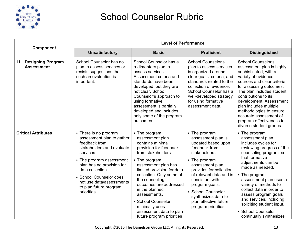

|                                            |                                                                                                                                                                                                                                                                                            | <b>Level of Performance</b>                                                                                                                                                                                                                                                                                                                                                          |                                                                                                                                                                                                                                                                                                                         |                                                                                                                                                                                                                                                                                                                                                                                                            |  |
|--------------------------------------------|--------------------------------------------------------------------------------------------------------------------------------------------------------------------------------------------------------------------------------------------------------------------------------------------|--------------------------------------------------------------------------------------------------------------------------------------------------------------------------------------------------------------------------------------------------------------------------------------------------------------------------------------------------------------------------------------|-------------------------------------------------------------------------------------------------------------------------------------------------------------------------------------------------------------------------------------------------------------------------------------------------------------------------|------------------------------------------------------------------------------------------------------------------------------------------------------------------------------------------------------------------------------------------------------------------------------------------------------------------------------------------------------------------------------------------------------------|--|
| Component                                  | <b>Unsatisfactory</b>                                                                                                                                                                                                                                                                      | <b>Basic</b>                                                                                                                                                                                                                                                                                                                                                                         | <b>Proficient</b>                                                                                                                                                                                                                                                                                                       | <b>Distinguished</b>                                                                                                                                                                                                                                                                                                                                                                                       |  |
| 1f: Designing Program<br><b>Assessment</b> | School Counselor has no<br>plan to assess services or<br>resists suggestions that<br>such an evaluation is<br>important.                                                                                                                                                                   | School Counselor has a<br>rudimentary plan to<br>assess services.<br>Assessment criteria and<br>standards have been<br>developed, but they are<br>not clear. School<br>Counselor's approach to<br>using formative<br>assessment is partially<br>developed and includes<br>only some of the program<br>outcomes.                                                                      | <b>School Counselor's</b><br>plan to assess services<br>is organized around<br>clear goals, criteria, and<br>standards related to the<br>collection of evidence.<br>School Counselor has a<br>well-developed strategy<br>for using formative<br>assessment data.                                                        | <b>School Counselor's</b><br>assessment plan is highly<br>sophisticated, with a<br>variety of evidence<br>sources and clear criteria<br>for assessing outcomes.<br>The plan includes student<br>contributions to its<br>development. Assessment<br>plan includes multiple<br>methodologies to ensure<br>accurate assessment of<br>program effectiveness for<br>diverse student groups.                     |  |
| <b>Critical Attributes</b>                 | • There is no program<br>assessment plan to gather<br>feedback from<br>stakeholders and evaluate<br>services.<br>• The program assessment<br>plan has no provision for<br>data collection.<br>• School Counselor does<br>not use data/assessments<br>to plan future program<br>priorities. | • The program<br>assessment plan<br>contains minimal<br>provision for feedback<br>from stakeholders.<br>• The program<br>assessment plan has<br>limited provision for data<br>collection. Only some of<br>the counseling<br>outcomes are addressed<br>in the planned<br>assessments.<br>• School Counselor<br>minimally uses<br>assessment data to plan<br>future program priorities | • The program<br>assessment plan is<br>updated based upon<br>feedback from<br>stakeholders.<br>• The program<br>assessment plan<br>provides for collection<br>of relevant data and is<br>consistent with<br>program goals.<br>• School Counselor<br>synthesizes data to<br>plan effective future<br>program priorities. | • The program<br>assessment plan<br>includes cycles for<br>reviewing progress of the<br>counseling program, so<br>that formative<br>adjustments can be<br>made as needed.<br>• The program<br>assessment plan uses a<br>variety of methods to<br>collect data in order to<br>assess program goals<br>and services, including<br>soliciting student input.<br>• School Counselor<br>continually synthesizes |  |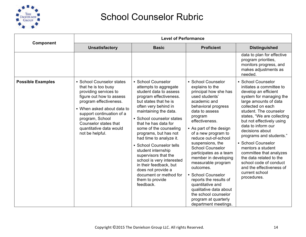

|                          | <b>Level of Performance</b>                                                                                                                                                                                                                                                          |                                                                                                                                                                                                                                                                                                                                                                                                                                                                                                                               |                                                                                                                                                                                                                                                                                                                                                                                                                                                                                                                                                            |                                                                                                                                                                                                                                                                                                                                                                                                                                                                                                  |
|--------------------------|--------------------------------------------------------------------------------------------------------------------------------------------------------------------------------------------------------------------------------------------------------------------------------------|-------------------------------------------------------------------------------------------------------------------------------------------------------------------------------------------------------------------------------------------------------------------------------------------------------------------------------------------------------------------------------------------------------------------------------------------------------------------------------------------------------------------------------|------------------------------------------------------------------------------------------------------------------------------------------------------------------------------------------------------------------------------------------------------------------------------------------------------------------------------------------------------------------------------------------------------------------------------------------------------------------------------------------------------------------------------------------------------------|--------------------------------------------------------------------------------------------------------------------------------------------------------------------------------------------------------------------------------------------------------------------------------------------------------------------------------------------------------------------------------------------------------------------------------------------------------------------------------------------------|
| Component                | <b>Unsatisfactory</b>                                                                                                                                                                                                                                                                | <b>Basic</b>                                                                                                                                                                                                                                                                                                                                                                                                                                                                                                                  | <b>Proficient</b>                                                                                                                                                                                                                                                                                                                                                                                                                                                                                                                                          | <b>Distinguished</b>                                                                                                                                                                                                                                                                                                                                                                                                                                                                             |
|                          |                                                                                                                                                                                                                                                                                      |                                                                                                                                                                                                                                                                                                                                                                                                                                                                                                                               |                                                                                                                                                                                                                                                                                                                                                                                                                                                                                                                                                            | data to plan for effective<br>program priorities,<br>monitors progress, and<br>makes adjustments as<br>needed.                                                                                                                                                                                                                                                                                                                                                                                   |
| <b>Possible Examples</b> | • School Counselor states<br>that he is too busy<br>providing services to<br>figure out how to assess<br>program effectiveness.<br>• When asked about data to<br>support continuation of a<br>program, School<br>Counselor states that<br>quantitative data would<br>not be helpful. | • School Counselor<br>attempts to aggregate<br>student data to assess<br>program effectiveness.<br>but states that he is<br>often very behind in<br>maintaining the data.<br>• School counselor states<br>that he has data for<br>some of the counseling<br>programs, but has not<br>had time to analyze it.<br>• School Counselor tells<br>student internship<br>supervisors that the<br>school is very interested<br>in their feedback, but<br>does not provide a<br>document or method for<br>them to provide<br>feedback. | • School Counselor<br>explains to the<br>principal how she has<br>used students'<br>academic and<br>behavioral progress<br>data to assess<br>program<br>effectiveness.<br>• As part of the design<br>of a new program to<br>reduce out-of-school<br>suspensions, the<br><b>School Counselor</b><br>participates as a team<br>member in developing<br>measurable program<br>outcomes.<br>• School Counselor<br>reports the results of<br>quantitative and<br>qualitative data about<br>the school counselor<br>program at quarterly<br>department meetings. | • School Counselor<br>initiates a committee to<br>develop an efficient<br>system for managing the<br>large amounts of data<br>collected on each<br>student. The counselor<br>states, "We are collecting<br>but not effectively using<br>data to inform our<br>decisions about<br>programs and students."<br>• School Counselor<br>mentors a student<br>committee that analyzes<br>the data related to the<br>school code of conduct<br>and the effectiveness of<br>current school<br>procedures. |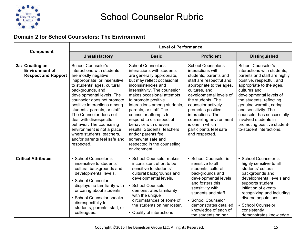

#### **Domain 2 for School Counselors: The Environment**

|                                                                        | <b>Level of Performance</b>                                                                                                                                                                                                                                                                                                                                                                                                                                                             |                                                                                                                                                                                                                                                                                                                                                                                                                                                                                                 |                                                                                                                                                                                                                                                                                                                                                           |                                                                                                                                                                                                                                                                                                                                                                                      |
|------------------------------------------------------------------------|-----------------------------------------------------------------------------------------------------------------------------------------------------------------------------------------------------------------------------------------------------------------------------------------------------------------------------------------------------------------------------------------------------------------------------------------------------------------------------------------|-------------------------------------------------------------------------------------------------------------------------------------------------------------------------------------------------------------------------------------------------------------------------------------------------------------------------------------------------------------------------------------------------------------------------------------------------------------------------------------------------|-----------------------------------------------------------------------------------------------------------------------------------------------------------------------------------------------------------------------------------------------------------------------------------------------------------------------------------------------------------|--------------------------------------------------------------------------------------------------------------------------------------------------------------------------------------------------------------------------------------------------------------------------------------------------------------------------------------------------------------------------------------|
| Component                                                              | <b>Unsatisfactory</b>                                                                                                                                                                                                                                                                                                                                                                                                                                                                   | <b>Basic</b>                                                                                                                                                                                                                                                                                                                                                                                                                                                                                    | <b>Proficient</b>                                                                                                                                                                                                                                                                                                                                         | <b>Distinguished</b>                                                                                                                                                                                                                                                                                                                                                                 |
| 2a: Creating an<br><b>Environment of</b><br><b>Respect and Rapport</b> | <b>School Counselor's</b><br>interactions with students<br>are mostly negative,<br>inappropriate, or insensitive<br>to students' ages, cultural<br>backgrounds, and<br>developmental levels. The<br>counselor does not promote<br>positive interactions among<br>students, parents, or staff.<br>The Counselor does not<br>deal with disrespectful<br>behavior. The counseling<br>environment is not a place<br>where students, teachers,<br>and/or parents feel safe and<br>respected. | <b>School Counselor's</b><br>interactions with students<br>are generally appropriate,<br>but may reflect occasional<br>inconsistencies and<br>insensitivity. The counselor<br>makes occasional attempts<br>to promote positive<br>interactions among students,<br>parents, or staff. The<br>counselor attempts to<br>respond to disrespectful<br>behavior with uneven<br>results. Students, teachers<br>and/or parents feel<br>somewhat safe and<br>respected in the counseling<br>environment. | <b>School Counselor's</b><br>interactions with<br>students, parents and<br>staff are respectful and<br>appropriate to the ages,<br>cultures, and<br>developmental levels of<br>the students. The<br>counselor actively<br>promotes positive<br>interactions. The<br>counseling environment<br>is one in which<br>participants feel safe<br>and respected. | School Counselor's<br>interactions with students,<br>parents and staff are highly<br>positive, respectful, and<br>appropriate to the ages,<br>cultures and<br>developmental levels of<br>the students, reflecting<br>genuine warmth, caring<br>and sensitivity. The<br>counselor has successfully<br>involved students in<br>promoting positive student-<br>to-student interactions. |
| <b>Critical Attributes</b>                                             | • School Counselor is<br>insensitive to students'<br>cultural backgrounds and<br>developmental levels.<br>• School Counselor<br>displays no familiarity with<br>or caring about students.<br>• School Counselor speaks<br>disrespectfully to<br>students, parents, staff, or<br>colleagues.                                                                                                                                                                                             | • School Counselor makes<br>inconsistent effort to be<br>sensitive to students'<br>cultural backgrounds and<br>developmental levels.<br>• School Counselor<br>demonstrates familiarity<br>with the unique<br>circumstances of some of<br>the students on her roster.<br>• Quality of interactions                                                                                                                                                                                               | • School Counselor is<br>sensitive to all<br>students' cultural<br>backgrounds and<br>developmental levels<br>and fosters this<br>sensitivity with<br>students and staff.<br>• School Counselor<br>demonstrates detailed<br>knowledge of each of<br>the students on her                                                                                   | • School Counselor is<br>highly sensitive to all<br>students' cultural<br>backgrounds and<br>developmental levels and<br>supports student<br>initiation of events<br>recognizing and including<br>diverse populations.<br>• School Counselor<br>consistently<br>demonstrates knowledge                                                                                               |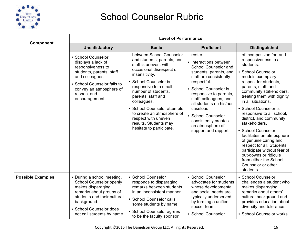

|                          | <b>Level of Performance</b>                                                                                                                                                                                  |                                                                                                                                                                                                                                                                                                                                                                                      |                                                                                                                                                                                                                                                                                                                                             |                                                                                                                                                                                                                                                                                                                                                                                                                                                                                                                                                                        |
|--------------------------|--------------------------------------------------------------------------------------------------------------------------------------------------------------------------------------------------------------|--------------------------------------------------------------------------------------------------------------------------------------------------------------------------------------------------------------------------------------------------------------------------------------------------------------------------------------------------------------------------------------|---------------------------------------------------------------------------------------------------------------------------------------------------------------------------------------------------------------------------------------------------------------------------------------------------------------------------------------------|------------------------------------------------------------------------------------------------------------------------------------------------------------------------------------------------------------------------------------------------------------------------------------------------------------------------------------------------------------------------------------------------------------------------------------------------------------------------------------------------------------------------------------------------------------------------|
| Component                | <b>Unsatisfactory</b>                                                                                                                                                                                        | <b>Basic</b>                                                                                                                                                                                                                                                                                                                                                                         | <b>Proficient</b>                                                                                                                                                                                                                                                                                                                           | <b>Distinguished</b>                                                                                                                                                                                                                                                                                                                                                                                                                                                                                                                                                   |
|                          | • School Counselor<br>displays a lack of<br>responsiveness to<br>students, parents, staff<br>and colleagues.<br>• School Counselor fails to<br>convey an atmosphere of<br>respect and<br>encouragement.      | between School Counselor<br>and students, parents, and<br>staff is uneven, with<br>occasional disrespect or<br>insensitivity.<br>• School Counselor is<br>responsive to a small<br>number of students,<br>parents, staff and<br>colleagues.<br>• School Counselor attempts<br>to create an atmosphere of<br>respect with uneven<br>results. Students may<br>hesitate to participate. | roster.<br>• Interactions between<br>School Counselor and<br>students, parents, and<br>staff are consistently<br>respectful.<br>• School Counselor is<br>responsive to parents,<br>staff, colleagues, and<br>all students on his/her<br>caseload.<br>• School Counselor<br>consistently creates<br>an atmosphere of<br>support and rapport. | of, compassion for, and<br>responsiveness to all<br>students.<br>• School Counselor<br>models exemplary<br>respect for students,<br>parents, staff, and<br>community stakeholders,<br>treating them with dignity<br>in all situations.<br>• School Counselor is<br>responsive to all school,<br>district, and community<br>stakeholders.<br>• School Counselor<br>facilitates an atmosphere<br>of genuine caring and<br>respect for all. Students<br>participate without fear of<br>put-downs or ridicule<br>from either the School<br>Counselor or other<br>students. |
| <b>Possible Examples</b> | • During a school meeting,<br>School Counselor openly<br>makes disparaging<br>remarks about groups of<br>students and their cultural<br>background.<br>• School Counselor does<br>not call students by name. | • School Counselor<br>responds to disparaging<br>remarks between students<br>in an inconsistent manner.<br>• School Counselor calls<br>some students by name.<br>• School Counselor agrees<br>to be the faculty sponsor                                                                                                                                                              | • School Counselor<br>advocates for students<br>whose developmental<br>and social needs are<br>typically underserved<br>by forming a unified<br>soccer team.<br>• School Counselor                                                                                                                                                          | • School Counselor<br>challenges a student who<br>makes disparaging<br>remarks about others'<br>cultural background and<br>provides education about<br>diversity and tolerance.<br>• School Counselor works                                                                                                                                                                                                                                                                                                                                                            |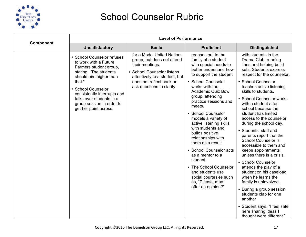

|           | <b>Level of Performance</b>                                                                                                                                                                                                                                                        |                                                                                                                                                                                                     |                                                                                                                                                                                                                                                                                                                                                                                                                                                                                                                                                                                              |                                                                                                                                                                                                                                                                                                                                                                                                                                                                                                                                                                                                                                                                                                                                                                                                            |  |
|-----------|------------------------------------------------------------------------------------------------------------------------------------------------------------------------------------------------------------------------------------------------------------------------------------|-----------------------------------------------------------------------------------------------------------------------------------------------------------------------------------------------------|----------------------------------------------------------------------------------------------------------------------------------------------------------------------------------------------------------------------------------------------------------------------------------------------------------------------------------------------------------------------------------------------------------------------------------------------------------------------------------------------------------------------------------------------------------------------------------------------|------------------------------------------------------------------------------------------------------------------------------------------------------------------------------------------------------------------------------------------------------------------------------------------------------------------------------------------------------------------------------------------------------------------------------------------------------------------------------------------------------------------------------------------------------------------------------------------------------------------------------------------------------------------------------------------------------------------------------------------------------------------------------------------------------------|--|
| Component | <b>Unsatisfactory</b>                                                                                                                                                                                                                                                              | <b>Basic</b>                                                                                                                                                                                        | <b>Proficient</b>                                                                                                                                                                                                                                                                                                                                                                                                                                                                                                                                                                            | <b>Distinguished</b>                                                                                                                                                                                                                                                                                                                                                                                                                                                                                                                                                                                                                                                                                                                                                                                       |  |
|           | • School Counselor refuses<br>to work with a Future<br>Farmers student group,<br>stating, "The students<br>should aim higher than<br>that."<br>• School Counselor<br>consistently interrupts and<br>talks over students in a<br>group session in order to<br>get her point across. | for a Model United Nations<br>group, but does not attend<br>their meetings.<br>• School Counselor listens<br>attentively to a student, but<br>does not reflect back or<br>ask questions to clarify. | reaches out to the<br>family of a student<br>with special needs to<br>better understand how<br>to support the student.<br>• School Counselor<br>works with the<br><b>Academic Quiz Bowl</b><br>group, attending<br>practice sessions and<br>meets.<br>• School Counselor<br>models a variety of<br>active listening skills<br>with students and<br>builds positive<br>relationships with<br>them as a result.<br>• School Counselor acts<br>as a mentor to a<br>student.<br>• The School Counselor<br>and students use<br>social courtesies such<br>as, "Please, may I<br>offer an opinion?" | with students in the<br>Drama Club, running<br>lines and helping build<br>sets. Students express<br>respect for the counselor.<br>• School Counselor<br>teaches active listening<br>skills to students.<br>• School Counselor works<br>with a student after<br>school because the<br>student has limited<br>access to the counselor<br>during the school day.<br>• Students, staff and<br>parents report that the<br><b>School Counselor is</b><br>accessible to them and<br>keeps appointments<br>unless there is a crisis.<br>• School Counselor<br>attends the play of a<br>student on his caseload<br>when he learns the<br>family is uninvolved.<br>• During a group session,<br>students clap for one<br>another<br>• Student says, "I feel safe<br>here sharing ideas I<br>thought were different." |  |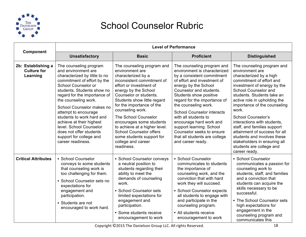

|                                                      |                                                                                                                                                                                                                                                                                                                                                                                                                                                | <b>Level of Performance</b>                                                                                                                                                                                                                                                                                                                                                                                                                                   |                                                                                                                                                                                                                                                                                                                                                                                                                                                                     |                                                                                                                                                                                                                                                                                                                                                                                                                                                                                                            |  |
|------------------------------------------------------|------------------------------------------------------------------------------------------------------------------------------------------------------------------------------------------------------------------------------------------------------------------------------------------------------------------------------------------------------------------------------------------------------------------------------------------------|---------------------------------------------------------------------------------------------------------------------------------------------------------------------------------------------------------------------------------------------------------------------------------------------------------------------------------------------------------------------------------------------------------------------------------------------------------------|---------------------------------------------------------------------------------------------------------------------------------------------------------------------------------------------------------------------------------------------------------------------------------------------------------------------------------------------------------------------------------------------------------------------------------------------------------------------|------------------------------------------------------------------------------------------------------------------------------------------------------------------------------------------------------------------------------------------------------------------------------------------------------------------------------------------------------------------------------------------------------------------------------------------------------------------------------------------------------------|--|
| Component                                            | <b>Unsatisfactory</b>                                                                                                                                                                                                                                                                                                                                                                                                                          | <b>Basic</b>                                                                                                                                                                                                                                                                                                                                                                                                                                                  | <b>Proficient</b>                                                                                                                                                                                                                                                                                                                                                                                                                                                   | <b>Distinguished</b>                                                                                                                                                                                                                                                                                                                                                                                                                                                                                       |  |
| 2b: Establishing a<br><b>Culture for</b><br>Learning | The counseling program<br>and environment are<br>characterized by little to no<br>commitment of effort by the<br>School Counselor or<br>students. Students show no<br>regard for the importance of<br>the counseling work.<br>School Counselor makes no<br>attempt to encourage<br>students to work hard and<br>achieve at their highest<br>level. School Counselor<br>does not offer students<br>support for college and<br>career readiness. | The counseling program and<br>environment are<br>characterized by a<br>inconsistent commitment of<br>effort or investment of<br>energy by the School<br>Counselor or students.<br>Students show little regard<br>for the importance of the<br>counseling work.<br><b>The School Counselor</b><br>encourages some students<br>to achieve at a higher level.<br><b>School Counselor offers</b><br>some students support for<br>college and career<br>readiness. | The counseling program and<br>environment is characterized<br>by a consistent commitment<br>of effort and investment of<br>energy by the School<br>Counselor and students.<br>Students show positive<br>regard for the importance of<br>the counseling work.<br><b>School Counselor interacts</b><br>with all students to<br>encourage hard work and<br>support learning. School<br>Counselor seeks to ensure<br>that all students are college<br>and career ready. | The counseling program and<br>environment are<br>characterized by a high<br>commitment of effort and<br>investment of energy by the<br>School Counselor and<br>students. Students take an<br>active role in upholding the<br>importance of the counseling<br>work.<br><b>School Counselor's</b><br>interactions with students,<br>staff, and families support<br>attainment of success for all<br>students and involves these<br>stakeholders in ensuring all<br>students are college and<br>career ready. |  |
| <b>Critical Attributes</b>                           | • School Counselor<br>conveys to some students<br>that counseling work is<br>too challenging for them.<br>• School Counselor sets no<br>expectations for<br>engagement and<br>participation.<br>• Students are not<br>encouraged to work hard.                                                                                                                                                                                                 | • School Counselor conveys<br>a neutral position to<br>students regarding their<br>ability to meet the<br>demands of counseling<br>work.<br>• School Counselor sets<br>limited expectations for<br>engagement and<br>participation.<br>• Some students receive<br>encouragement to work                                                                                                                                                                       | • School Counselor<br>communicates to students<br>the importance of<br>counseling work, and the<br>conviction that with hard<br>work they will succeed.<br>• School Counselor expects<br>all students to engage with<br>and participate in the<br>counseling program.<br>• All students receive<br>encouragement to work                                                                                                                                            | • School Counselor<br>communicates a passion for<br>counseling work to<br>students, staff, and families<br>and a conviction that<br>students can acquire the<br>skills necessary to be<br>successful.<br>• The School Counselor sets<br>high expectations for<br>engagement in the<br>counseling program and<br>communicates this                                                                                                                                                                          |  |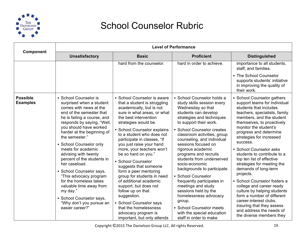

| Component                          |                                                                                                                                                                                                                                                                                                                                                                                                                                                                                                                                                                          |                                                                                                                                                                                                                                                                                                                                                                                                                                                                                                                                                                                                                                                           | <b>Level of Performance</b>                                                                                                                                                                                                                                                                                                                                                                                                                                                                                                                                                                                                         |                                                                                                                                                                                                                                                                                                                                                                                                                                                                                                                                                                                                                                                                              |
|------------------------------------|--------------------------------------------------------------------------------------------------------------------------------------------------------------------------------------------------------------------------------------------------------------------------------------------------------------------------------------------------------------------------------------------------------------------------------------------------------------------------------------------------------------------------------------------------------------------------|-----------------------------------------------------------------------------------------------------------------------------------------------------------------------------------------------------------------------------------------------------------------------------------------------------------------------------------------------------------------------------------------------------------------------------------------------------------------------------------------------------------------------------------------------------------------------------------------------------------------------------------------------------------|-------------------------------------------------------------------------------------------------------------------------------------------------------------------------------------------------------------------------------------------------------------------------------------------------------------------------------------------------------------------------------------------------------------------------------------------------------------------------------------------------------------------------------------------------------------------------------------------------------------------------------------|------------------------------------------------------------------------------------------------------------------------------------------------------------------------------------------------------------------------------------------------------------------------------------------------------------------------------------------------------------------------------------------------------------------------------------------------------------------------------------------------------------------------------------------------------------------------------------------------------------------------------------------------------------------------------|
|                                    | <b>Unsatisfactory</b>                                                                                                                                                                                                                                                                                                                                                                                                                                                                                                                                                    | <b>Basic</b>                                                                                                                                                                                                                                                                                                                                                                                                                                                                                                                                                                                                                                              | <b>Proficient</b>                                                                                                                                                                                                                                                                                                                                                                                                                                                                                                                                                                                                                   | <b>Distinguished</b>                                                                                                                                                                                                                                                                                                                                                                                                                                                                                                                                                                                                                                                         |
|                                    |                                                                                                                                                                                                                                                                                                                                                                                                                                                                                                                                                                          | hard from the counselor.                                                                                                                                                                                                                                                                                                                                                                                                                                                                                                                                                                                                                                  | hard in order to achieve.                                                                                                                                                                                                                                                                                                                                                                                                                                                                                                                                                                                                           | importance to all students,<br>staff, and families.<br>• The School Counselor                                                                                                                                                                                                                                                                                                                                                                                                                                                                                                                                                                                                |
|                                    |                                                                                                                                                                                                                                                                                                                                                                                                                                                                                                                                                                          |                                                                                                                                                                                                                                                                                                                                                                                                                                                                                                                                                                                                                                                           |                                                                                                                                                                                                                                                                                                                                                                                                                                                                                                                                                                                                                                     | supports students' initiative<br>in improving the quality of<br>their work.                                                                                                                                                                                                                                                                                                                                                                                                                                                                                                                                                                                                  |
| <b>Possible</b><br><b>Examples</b> | • School Counselor is<br>surprised when a student<br>comes with news at the<br>end of the semester that<br>he is failing a course, and<br>responds by saying, "Well,<br>you should have worked<br>harder at the beginning of<br>the semester."<br>• School Counselor only<br>meets for academic<br>advising with twenty<br>percent of the students in<br>her caseload.<br>• School Counselor says,<br>"This advocacy program<br>for the homeless takes<br>valuable time away from<br>my day."<br>• School Counselor says,<br>"Why don't you pursue an<br>easier career?" | • School Counselor is aware<br>that a student is struggling<br>academically, but is not<br>sure in what areas, or what<br>the best intervention<br>strategies would be.<br>• School Counselor explains<br>to a student who does not<br>participate in classes, "If<br>you just raise your hand<br>more, your teachers won't<br>be so hard on you."<br>• School Counselor<br>suggests that someone<br>form a peer mentoring<br>group for students in need<br>of additional academic<br>support, but does not<br>follow up on that<br>suggestion.<br>• School Counselor says<br>that the homelessness<br>advocacy program is<br>important, but only attends | · School Counselor holds a<br>study skills session every<br>Wednesday so that<br>students can develop<br>strategies and techniques<br>to support their work.<br>• School Counselor creates<br>classroom activities, group<br>counseling, and individual<br>sessions focused on<br>rigorous academic<br>programs and recruits<br>students from underserved<br>socio-economic<br>backgrounds to participate.<br>• School Counselor<br>frequently participates in<br>meetings and study<br>sessions held by the<br>homelessness advocacy<br>group.<br>• School Counselor meets<br>with the special education<br>staff in order to make | • School Counselor gathers<br>support teams for individual<br>students that includes<br>teachers, specialists, family<br>members, and the student<br>themselves, to proactively<br>monitor the student's<br>progress and determine<br>strategies for increased<br>success.<br>• School Counselor asks<br>students to contribute to a<br>top ten list of effective<br>strategies for meeting the<br>demands of long-term<br>projects.<br>• School Counselor fosters a<br>college and career ready<br>culture by helping students<br>form a number of different<br>career-interest clubs,<br>insuring that they assess<br>and address the needs of<br>the diverse members they |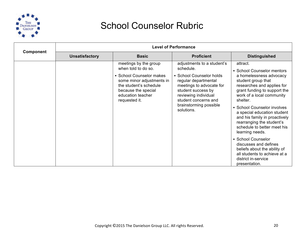

|                  | <b>Level of Performance</b> |                                                                                                                                                                                              |                                                                                                                                                                                                                                       |                                                                                                                                                                                                                                                                                                                                                                                                                                                                                                                                     |  |
|------------------|-----------------------------|----------------------------------------------------------------------------------------------------------------------------------------------------------------------------------------------|---------------------------------------------------------------------------------------------------------------------------------------------------------------------------------------------------------------------------------------|-------------------------------------------------------------------------------------------------------------------------------------------------------------------------------------------------------------------------------------------------------------------------------------------------------------------------------------------------------------------------------------------------------------------------------------------------------------------------------------------------------------------------------------|--|
| <b>Component</b> | <b>Unsatisfactory</b>       | <b>Basic</b>                                                                                                                                                                                 | <b>Proficient</b>                                                                                                                                                                                                                     | <b>Distinguished</b>                                                                                                                                                                                                                                                                                                                                                                                                                                                                                                                |  |
|                  |                             | meetings by the group<br>when told to do so.<br>• School Counselor makes<br>some minor adjustments in<br>the student's schedule<br>because the special<br>education teacher<br>requested it. | adjustments to a student's<br>schedule.<br>• School Counselor holds<br>regular departmental<br>meetings to advocate for<br>student success by<br>reviewing individual<br>student concerns and<br>brainstorming possible<br>solutions. | attract.<br>• School Counselor mentors<br>a homelessness advocacy<br>student group that<br>researches and applies for<br>grant funding to support the<br>work of a local community<br>shelter.<br>• School Counselor involves<br>a special education student<br>and his family in proactively<br>rearranging the student's<br>schedule to better meet his<br>learning needs.<br>• School Counselor<br>discusses and defines<br>beliefs about the ability of<br>all students to achieve at a<br>district in-service<br>presentation. |  |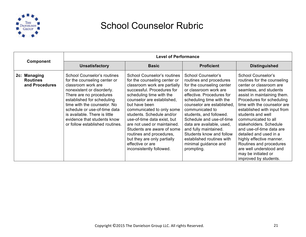

|                                                   | <b>Level of Performance</b>                                                                                                                                                                                                                                                                                                                |                                                                                                                                                                                                                                                                                                                                                                                                                                                                              |                                                                                                                                                                                                                                                                                                                                                                                                                           |                                                                                                                                                                                                                                                                                                                                                                                                                                                                                                       |
|---------------------------------------------------|--------------------------------------------------------------------------------------------------------------------------------------------------------------------------------------------------------------------------------------------------------------------------------------------------------------------------------------------|------------------------------------------------------------------------------------------------------------------------------------------------------------------------------------------------------------------------------------------------------------------------------------------------------------------------------------------------------------------------------------------------------------------------------------------------------------------------------|---------------------------------------------------------------------------------------------------------------------------------------------------------------------------------------------------------------------------------------------------------------------------------------------------------------------------------------------------------------------------------------------------------------------------|-------------------------------------------------------------------------------------------------------------------------------------------------------------------------------------------------------------------------------------------------------------------------------------------------------------------------------------------------------------------------------------------------------------------------------------------------------------------------------------------------------|
| <b>Component</b>                                  | <b>Unsatisfactory</b>                                                                                                                                                                                                                                                                                                                      | <b>Basic</b>                                                                                                                                                                                                                                                                                                                                                                                                                                                                 | <b>Proficient</b>                                                                                                                                                                                                                                                                                                                                                                                                         | <b>Distinguished</b>                                                                                                                                                                                                                                                                                                                                                                                                                                                                                  |
| 2c: Managing<br><b>Routines</b><br>and Procedures | School Counselor's routines<br>for the counseling center or<br>classroom work are<br>nonexistent or disorderly.<br>There are no procedures<br>established for scheduling<br>time with the counselor. No<br>schedule or use-of-time data<br>is available. There is little<br>evidence that students know<br>or follow established routines. | <b>School Counselor's routines</b><br>for the counseling center or<br>classroom work are partially<br>successful. Procedures for<br>scheduling time with the<br>counselor are established.<br>but have been<br>communicated to only some<br>students. Schedule and/or<br>use-of-time data exist, but<br>are not used or maintained.<br>Students are aware of some<br>routines and procedures,<br>but they are only partially<br>effective or are<br>inconsistently followed. | School Counselor's<br>routines and procedures<br>for the counseling center<br>or classroom work are<br>effective. Procedures for<br>scheduling time with the<br>counselor are established.<br>communicated to<br>students, and followed.<br>Schedule and use-of-time<br>data are available, used,<br>and fully maintained.<br>Students know and follow<br>established routines with<br>minimal guidance and<br>prompting. | <b>School Counselor's</b><br>routines for the counseling<br>center or classroom are<br>seamless, and students<br>assist in maintaining them.<br>Procedures for scheduling<br>time with the counselor are<br>established with input from<br>students and well<br>communicated to all<br>stakeholders. Schedule<br>and use-of-time data are<br>detailed and used in a<br>highly effective manner.<br>Routines and procedures<br>are well understood and<br>may be initiated or<br>improved by students. |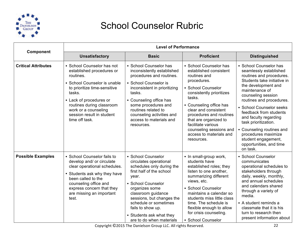

|                            |                                                                                                                                                                                                                                                                               | <b>Level of Performance</b>                                                                                                                                                                                                                                                                                     |                                                                                                                                                                                                                                                                                                                                              |                                                                                                                                                                                                                                                                                                                                                                                                                                 |  |
|----------------------------|-------------------------------------------------------------------------------------------------------------------------------------------------------------------------------------------------------------------------------------------------------------------------------|-----------------------------------------------------------------------------------------------------------------------------------------------------------------------------------------------------------------------------------------------------------------------------------------------------------------|----------------------------------------------------------------------------------------------------------------------------------------------------------------------------------------------------------------------------------------------------------------------------------------------------------------------------------------------|---------------------------------------------------------------------------------------------------------------------------------------------------------------------------------------------------------------------------------------------------------------------------------------------------------------------------------------------------------------------------------------------------------------------------------|--|
| <b>Component</b>           | <b>Unsatisfactory</b>                                                                                                                                                                                                                                                         | <b>Basic</b>                                                                                                                                                                                                                                                                                                    | <b>Proficient</b>                                                                                                                                                                                                                                                                                                                            | <b>Distinguished</b>                                                                                                                                                                                                                                                                                                                                                                                                            |  |
| <b>Critical Attributes</b> | • School Counselor has not<br>established procedures or<br>routines.<br>• School Counselor is unable<br>to prioritize time-sensitive<br>tasks.<br>• Lack of procedures or<br>routines during classroom<br>work or a counseling<br>session result in student<br>time off task. | • School Counselor has<br>inconsistently established<br>procedures and routines.<br>• School Counselor is<br>inconsistent in prioritizing<br>tasks.<br>• Counseling office has<br>some procedures and<br>routines related to<br>counseling activities and<br>access to materials and<br>resources.              | • School Counselor has<br>established consistent<br>routines and<br>procedures.<br>• School Counselor<br>consistently prioritizes<br>tasks.<br>• Counseling office has<br>clear and consistent<br>procedures and routines<br>that are organized to<br>facilitate various<br>counseling sessions and<br>access to materials and<br>resources. | • School Counselor has<br>seamlessly established<br>routines and procedures.<br>Students take initiative in<br>the development and<br>maintenance of<br>counseling session<br>routines and procedures.<br>• School Counselor seeks<br>feedback from students<br>and faculty regarding<br>task prioritization.<br>• Counseling routines and<br>procedures maximize<br>student engagement,<br>opportunities, and time<br>on task. |  |
| <b>Possible Examples</b>   | • School Counselor fails to<br>develop and/ or circulate<br>clear operational schedules.<br>• Students ask why they have<br>been called to the<br>counseling office and<br>express concern that they<br>are missing an important<br>test.                                     | • School Counselor<br>circulates operational<br>schedules only during the<br>first half of the school<br>year.<br>• School Counselor<br>organizes some<br>classroom guidance<br>sessions, but changes the<br>schedule or sometimes<br>fails to show up.<br>• Students ask what they<br>are to do when materials | • In small-group work,<br>students have<br>established roles; they<br>listen to one another,<br>summarizing different<br>views, etc.<br>• School Counselor<br>maintains a calendar so<br>students miss little class<br>time. The schedule is<br>flexible enough to allow<br>for crisis counseling.<br>• School Counselor                     | • School Counselor<br>communicates<br>operational schedules to<br>stakeholders through<br>daily, weekly, monthly,<br>and annual schedules<br>and calendars shared<br>through a variety of<br>media.<br>• A student reminds a<br>classmate that it is his<br>turn to research then<br>present information about                                                                                                                  |  |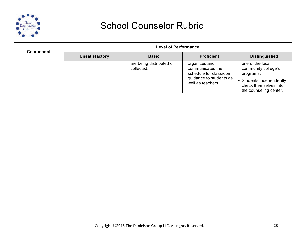

| <b>Component</b> | <b>Level of Performance</b> |                                        |                                                                                                             |                                                                                                                                     |
|------------------|-----------------------------|----------------------------------------|-------------------------------------------------------------------------------------------------------------|-------------------------------------------------------------------------------------------------------------------------------------|
|                  | <b>Unsatisfactory</b>       | <b>Basic</b>                           | <b>Proficient</b>                                                                                           | <b>Distinguished</b>                                                                                                                |
|                  |                             | are being distributed or<br>collected. | organizes and<br>communicates the<br>schedule for classroom<br>guidance to students as<br>well as teachers. | one of the local<br>community college's<br>programs.<br>• Students independently<br>check themselves into<br>the counseling center. |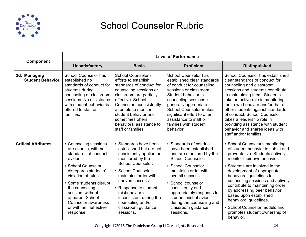

|                                         | <b>Level of Performance</b>                                                                                                                                                                                                                                                                              |                                                                                                                                                                                                                                                                                                                     |                                                                                                                                                                                                                                                                                                                                  |                                                                                                                                                                                                                                                                                                                                                                                                                                                                              |
|-----------------------------------------|----------------------------------------------------------------------------------------------------------------------------------------------------------------------------------------------------------------------------------------------------------------------------------------------------------|---------------------------------------------------------------------------------------------------------------------------------------------------------------------------------------------------------------------------------------------------------------------------------------------------------------------|----------------------------------------------------------------------------------------------------------------------------------------------------------------------------------------------------------------------------------------------------------------------------------------------------------------------------------|------------------------------------------------------------------------------------------------------------------------------------------------------------------------------------------------------------------------------------------------------------------------------------------------------------------------------------------------------------------------------------------------------------------------------------------------------------------------------|
| <b>Component</b>                        | <b>Unsatisfactory</b>                                                                                                                                                                                                                                                                                    | <b>Basic</b>                                                                                                                                                                                                                                                                                                        | <b>Proficient</b>                                                                                                                                                                                                                                                                                                                | <b>Distinguished</b>                                                                                                                                                                                                                                                                                                                                                                                                                                                         |
| 2d: Managing<br><b>Student Behavior</b> | <b>School Counselor has</b><br>established no<br>standards of conduct for<br>students during<br>counseling or classroom<br>sessions. No assistance<br>with student behavior is<br>offered to staff or<br>families.                                                                                       | <b>School Counselor's</b><br>efforts to establish<br>standards of conduct for<br>counseling sessions or<br>classroom are partially<br>effective. School<br>Counselor inconsistently<br>attempts to monitor<br>student behavior and<br>sometimes offers<br>behavioral assistance to<br>staff or families.            | <b>School Counselor has</b><br>established clear standards<br>of conduct for counseling<br>sessions or classroom.<br>Student behavior in<br>counseling sessions is<br>generally appropriate.<br><b>School Counselor makes</b><br>significant effort to offer<br>assistance to staff or<br>families with student<br>behavior.     | School Counselor has established<br>clear standards of conduct for<br>counseling and classroom<br>sessions and students contribute<br>to maintaining them. Students<br>take an active role in monitoring<br>their own behavior and/or that of<br>other students against standards<br>of conduct. School Counselor<br>takes a leadership role in<br>providing assistance with student<br>behavior and shares ideas with<br>staff and/or families.                             |
| <b>Critical Attributes</b>              | • Counseling sessions<br>are chaotic, with no<br>standards of conduct<br>evident.<br>• School Counselor<br>disregards students'<br>violation of rules.<br>• Some students disrupt<br>the counseling<br>session, without<br>apparent School<br>Counselor awareness<br>or with an ineffective<br>response. | • Standards have been<br>established but are not<br>consistently applied or<br>monitored by the<br>School Counselor.<br>• School Counselor<br>maintains order with<br>uneven success.<br>• Response to student<br>misbehavior is<br>inconsistent during the<br>counseling and/or<br>classroom guidance<br>sessions. | • Standards of conduct<br>have been established<br>and are monitored by the<br>School Counselor.<br>• School Counselor<br>maintains order with<br>overall success.<br>• School counselor<br>consistently and<br>appropriately responds to<br>student misbehavior<br>during the counseling and<br>classroom guidance<br>sessions. | • School Counselor's monitoring<br>of student behavior is subtle and<br>preventative. Students actively<br>monitor their own behavior.<br>• Students are involved in the<br>development of appropriate<br>behavioral guidelines for<br>counseling sessions and actively<br>contribute to maintaining order<br>by addressing peer behavior<br>based upon established<br>behavioral guidelines.<br>• School Counselor models and<br>promotes student ownership of<br>behavior. |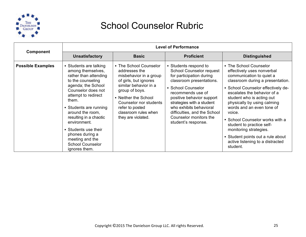

|                          | <b>Level of Performance</b>                                                                                                                                                                                                                                                                                                                                             |                                                                                                                                                                                                                                                          |                                                                                                                                                                                                                                                                                                                                   |                                                                                                                                                                                                                                                                                                                                                                                                                                                                             |
|--------------------------|-------------------------------------------------------------------------------------------------------------------------------------------------------------------------------------------------------------------------------------------------------------------------------------------------------------------------------------------------------------------------|----------------------------------------------------------------------------------------------------------------------------------------------------------------------------------------------------------------------------------------------------------|-----------------------------------------------------------------------------------------------------------------------------------------------------------------------------------------------------------------------------------------------------------------------------------------------------------------------------------|-----------------------------------------------------------------------------------------------------------------------------------------------------------------------------------------------------------------------------------------------------------------------------------------------------------------------------------------------------------------------------------------------------------------------------------------------------------------------------|
| <b>Component</b>         | <b>Unsatisfactory</b>                                                                                                                                                                                                                                                                                                                                                   | <b>Proficient</b><br><b>Basic</b>                                                                                                                                                                                                                        |                                                                                                                                                                                                                                                                                                                                   | <b>Distinguished</b>                                                                                                                                                                                                                                                                                                                                                                                                                                                        |
| <b>Possible Examples</b> | • Students are talking<br>among themselves,<br>rather than attending<br>to the counseling<br>agenda; the School<br>Counselor does not<br>attempt to redirect<br>them.<br>• Students are running<br>around the room,<br>resulting in a chaotic<br>environment.<br>• Students use their<br>phones during a<br>meeting and the<br><b>School Counselor</b><br>ignores them. | • The School Counselor<br>addresses the<br>misbehavior in a group<br>of girls, but ignores<br>similar behavior in a<br>group of boys.<br>• Neither the School<br>Counselor nor students<br>refer to posted<br>classroom rules when<br>they are violated. | • Students respond to<br><b>School Counselor request</b><br>for participation during<br>classroom presentations.<br>• School Counselor<br>recommends use of<br>positive behavior support<br>strategies with a student<br>who exhibits behavioral<br>difficulties, and the School<br>Counselor monitors the<br>student's response. | • The School Counselor<br>effectively uses nonverbal<br>communication to quiet a<br>classroom during a presentation.<br>• School Counselor effectively de-<br>escalates the behavior of a<br>student who is acting out<br>physically by using calming<br>words and an even tone of<br>voice.<br>• School Counselor works with a<br>student to practice self-<br>monitoring strategies.<br>• Student points out a rule about<br>active listening to a distracted<br>student. |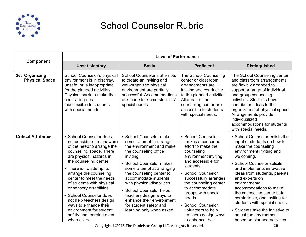

| Component                               |                                                                                                                                                                                                                                                                                                                                                                                                                                                                      | <b>Level of Performance</b>                                                                                                                                                                                                                                                                                                                                                                                  |                                                                                                                                                                                                                                                                                                                                                           |                                                                                                                                                                                                                                                                                                                                                                                                                                                                                         |
|-----------------------------------------|----------------------------------------------------------------------------------------------------------------------------------------------------------------------------------------------------------------------------------------------------------------------------------------------------------------------------------------------------------------------------------------------------------------------------------------------------------------------|--------------------------------------------------------------------------------------------------------------------------------------------------------------------------------------------------------------------------------------------------------------------------------------------------------------------------------------------------------------------------------------------------------------|-----------------------------------------------------------------------------------------------------------------------------------------------------------------------------------------------------------------------------------------------------------------------------------------------------------------------------------------------------------|-----------------------------------------------------------------------------------------------------------------------------------------------------------------------------------------------------------------------------------------------------------------------------------------------------------------------------------------------------------------------------------------------------------------------------------------------------------------------------------------|
|                                         | <b>Unsatisfactory</b>                                                                                                                                                                                                                                                                                                                                                                                                                                                | <b>Basic</b>                                                                                                                                                                                                                                                                                                                                                                                                 | <b>Proficient</b>                                                                                                                                                                                                                                                                                                                                         | <b>Distinguished</b>                                                                                                                                                                                                                                                                                                                                                                                                                                                                    |
| 2e: Organizing<br><b>Physical Space</b> | School Counselor's physical<br>environment is in disarray,<br>unsafe, or is inappropriate<br>for the planned activities.<br>Physical barriers make the<br>counseling area<br>inaccessible to students<br>with special needs.                                                                                                                                                                                                                                         | School Counselor's attempts<br>to create an inviting and<br>well-organized physical<br>environment are partially<br>successful. Accommodations<br>are made for some students'<br>special needs.                                                                                                                                                                                                              | The School Counseling<br>center or classroom<br>arrangements are<br>inviting and conducive<br>to the planned activities.<br>All areas of the<br>counseling center are<br>accessible to students<br>with special needs.                                                                                                                                    | The School Counseling center<br>and classroom arrangements<br>are flexibly arranged to<br>support a range of individual<br>and group counseling<br>activities. Students have<br>contributed ideas to the<br>organization of physical space.<br>Arrangements provide<br>individualized<br>accommodations for students<br>with special needs.                                                                                                                                             |
| <b>Critical Attributes</b>              | • School Counselor does<br>not consider or is unaware<br>of the need to arrange the<br>counseling space. There<br>are physical hazards in<br>the counseling center.<br>• There is no attempt to<br>arrange the counseling<br>center to meet the needs<br>of students with physical<br>or sensory disabilities.<br>• School Counselor does<br>not help teachers design<br>ways to enhance their<br>environment for student<br>safety and learning even<br>when asked. | • School Counselor makes<br>some attempt to arrange<br>the environment and make<br>the counseling office<br>inviting.<br>• School Counselor makes<br>some attempt at arranging<br>the counseling center to<br>accommodate students<br>with physical disabilities.<br>• School Counselor helps<br>teachers design ways to<br>enhance their environment<br>for student safety and<br>learning only when asked. | • School Counselor<br>makes a concerted<br>effort to make the<br>counseling<br>environment inviting<br>and accessible for<br>students.<br>• School Counselor<br>successfully arranges<br>the counseling center<br>to accommodate<br>groups with special<br>needs.<br>• School Counselor<br>volunteers to help<br>teachers design ways<br>to enhance their | • School Counselor enlists the<br>input of students on how to<br>make the counseling<br>environment inviting and<br>welcoming.<br>• School Counselor solicits<br>and implements innovative<br>ideas from students, parents,<br>and experts on<br>environmental<br>accommodations to make<br>the counseling center safe,<br>comfortable, and inviting for<br>students with special needs.<br>• Students take the initiative to<br>adjust the environment<br>based on planned activities. |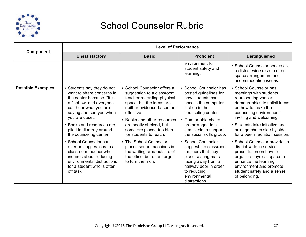

|                          |                                                                                                                                                                                                                                                                                                                                                                                                                                                                | <b>Level of Performance</b>                                                                                                                                                                                                                                                                                                                                                                                              |                                                                                                                                                                                                                                                                                                                                                                                                                                 |                                                                                                                                                                                                                                                                                                                                                                                                                                                                                                               |
|--------------------------|----------------------------------------------------------------------------------------------------------------------------------------------------------------------------------------------------------------------------------------------------------------------------------------------------------------------------------------------------------------------------------------------------------------------------------------------------------------|--------------------------------------------------------------------------------------------------------------------------------------------------------------------------------------------------------------------------------------------------------------------------------------------------------------------------------------------------------------------------------------------------------------------------|---------------------------------------------------------------------------------------------------------------------------------------------------------------------------------------------------------------------------------------------------------------------------------------------------------------------------------------------------------------------------------------------------------------------------------|---------------------------------------------------------------------------------------------------------------------------------------------------------------------------------------------------------------------------------------------------------------------------------------------------------------------------------------------------------------------------------------------------------------------------------------------------------------------------------------------------------------|
| Component                | <b>Unsatisfactory</b>                                                                                                                                                                                                                                                                                                                                                                                                                                          | <b>Basic</b>                                                                                                                                                                                                                                                                                                                                                                                                             | <b>Proficient</b>                                                                                                                                                                                                                                                                                                                                                                                                               | <b>Distinguished</b>                                                                                                                                                                                                                                                                                                                                                                                                                                                                                          |
|                          |                                                                                                                                                                                                                                                                                                                                                                                                                                                                |                                                                                                                                                                                                                                                                                                                                                                                                                          | environment for<br>student safety and<br>learning.                                                                                                                                                                                                                                                                                                                                                                              | • School Counselor serves as<br>a district-wide resource for<br>space arrangement and<br>accommodation issues.                                                                                                                                                                                                                                                                                                                                                                                                |
| <b>Possible Examples</b> | • Students say they do not<br>want to share concerns in<br>the center because. "It is<br>a fishbowl and everyone<br>can hear what you are<br>saying and see you when<br>you are upset."<br>• Books and resources are<br>piled in disarray around<br>the counseling center.<br>• School Counselor can<br>offer no suggestions to a<br>classroom teacher who<br>inquires about reducing<br>environmental distractions<br>for a student who is often<br>off task. | • School Counselor offers a<br>suggestion to a classroom<br>teacher regarding physical<br>space, but the ideas are<br>neither evidence-based nor<br>effective.<br>• Books and other resources<br>are neatly shelved, but<br>some are placed too high<br>for students to reach.<br>• The School Counselor<br>places sound machines in<br>the waiting area outside of<br>the office, but often forgets<br>to turn them on. | • School Counselor has<br>posted guidelines for<br>how students can<br>access the computer<br>station in the<br>counseling center.<br>• Comfortable chairs<br>are arranged in a<br>semicircle to support<br>the social skills group.<br>• School Counselor<br>suggests to classroom<br>teachers that they<br>place seating mats<br>facing away from a<br>hallway door in order<br>to reducing<br>environmental<br>distractions. | • School Counselor has<br>meetings with students<br>representing various<br>demographics to solicit ideas<br>on how to make the<br>counseling environment<br>inviting and welcoming.<br>• Students take initiative and<br>arrange chairs side by side<br>for a peer mediation session.<br>• School Counselor provides a<br>district-wide in-service<br>presentation on how to<br>organize physical space to<br>enhance the learning<br>environment and promote<br>student safety and a sense<br>of belonging. |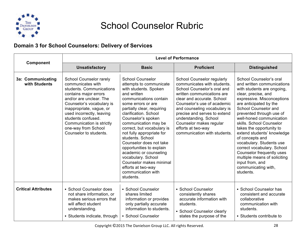

#### **Domain 3 for School Counselors: Delivery of Services**

|                                    |                                                                                                                                                                                                                                                                                                                        |                                                                                                                                                                                                                                                                                                                                                                                                                                                                                                                           | <b>Level of Performance</b>                                                                                                                                                                                                                                                                                                                                   |                                                                                                                                                                                                                                                                                                                                                                                                                                                                                                                                           |
|------------------------------------|------------------------------------------------------------------------------------------------------------------------------------------------------------------------------------------------------------------------------------------------------------------------------------------------------------------------|---------------------------------------------------------------------------------------------------------------------------------------------------------------------------------------------------------------------------------------------------------------------------------------------------------------------------------------------------------------------------------------------------------------------------------------------------------------------------------------------------------------------------|---------------------------------------------------------------------------------------------------------------------------------------------------------------------------------------------------------------------------------------------------------------------------------------------------------------------------------------------------------------|-------------------------------------------------------------------------------------------------------------------------------------------------------------------------------------------------------------------------------------------------------------------------------------------------------------------------------------------------------------------------------------------------------------------------------------------------------------------------------------------------------------------------------------------|
| Component                          | <b>Unsatisfactory</b>                                                                                                                                                                                                                                                                                                  | <b>Basic</b>                                                                                                                                                                                                                                                                                                                                                                                                                                                                                                              | <b>Proficient</b>                                                                                                                                                                                                                                                                                                                                             | <b>Distinguished</b>                                                                                                                                                                                                                                                                                                                                                                                                                                                                                                                      |
| 3a: Communicating<br>with Students | School Counselor rarely<br>communicates with<br>students. Communications<br>contains major errors<br>and/or are unclear. The<br>Counselor's vocabulary is<br>inappropriate, vague, or<br>used incorrectly, leaving<br>students confused.<br>Communication is strictly<br>one-way from School<br>Counselor to students. | <b>School Counselor</b><br>attempts to communicate<br>with students. Spoken<br>and written<br>communications contain<br>some errors or are<br>partially clear, requiring<br>clarification. School<br>Counselor's spoken<br>communication may be<br>correct, but vocabulary is<br>not fully appropriate for<br>students, School<br>Counselor does not take<br>opportunities to explain<br>academic or counseling<br>vocabulary. School<br>Counselor makes minimal<br>efforts at two-way<br>communication with<br>students. | School Counselor regularly<br>communicates with students.<br>School Counselor's oral and<br>written communications are<br>clear and accurate. School<br>Counselor's use of academic<br>and counseling vocabulary is<br>precise and serves to extend<br>understanding. School<br>Counselor makes regular<br>efforts at two-way<br>communication with students. | School Counselor's oral<br>and written communications<br>with students are ongoing,<br>clear, precise, and<br>expressive. Misconceptions<br>are anticipated by the<br>School Counselor and<br>prevented through use of<br>well-honed communication<br>skills. School Counselor<br>takes the opportunity to<br>extend students' knowledge<br>of concepts and<br>vocabulary. Students use<br>correct vocabulary. School<br>Counselor frequently uses<br>multiple means of soliciting<br>input from, and<br>communicating with,<br>students. |
| <b>Critical Attributes</b>         | • School Counselor does<br>not share information, or<br>makes serious errors that<br>will affect student<br>understanding.<br>• Students indicate, through                                                                                                                                                             | • School Counselor<br>shares limited<br>information or provides<br>only partially accurate<br>information to students.<br>• School Counselor                                                                                                                                                                                                                                                                                                                                                                              | • School Counselor<br>consistently shares<br>accurate information with<br>students.<br>• School Counselor clearly<br>states the purpose of the                                                                                                                                                                                                                | • School Counselor has<br>consistent and accurate<br>collaborative<br>communication with<br>students.<br>• Students contribute to                                                                                                                                                                                                                                                                                                                                                                                                         |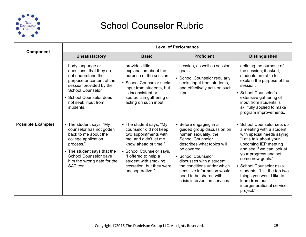

|                          |                                                                                                                                                                                                                     |                                                                                                                                                                                                                                                        | <b>Level of Performance</b>                                                                                                                                                                                                                                                                                                    |                                                                                                                                                                                                                                                                                                                                                                    |
|--------------------------|---------------------------------------------------------------------------------------------------------------------------------------------------------------------------------------------------------------------|--------------------------------------------------------------------------------------------------------------------------------------------------------------------------------------------------------------------------------------------------------|--------------------------------------------------------------------------------------------------------------------------------------------------------------------------------------------------------------------------------------------------------------------------------------------------------------------------------|--------------------------------------------------------------------------------------------------------------------------------------------------------------------------------------------------------------------------------------------------------------------------------------------------------------------------------------------------------------------|
| <b>Component</b>         | <b>Unsatisfactory</b>                                                                                                                                                                                               | <b>Basic</b>                                                                                                                                                                                                                                           | <b>Proficient</b>                                                                                                                                                                                                                                                                                                              | <b>Distinguished</b>                                                                                                                                                                                                                                                                                                                                               |
|                          | body language or<br>questions, that they do<br>not understand the<br>purpose or content of the<br>session provided by the<br><b>School Counselor</b><br>• School Counselor does<br>not seek input from<br>students. | provides little<br>explanation about the<br>purpose of the session.<br>• School Counselor seeks<br>input from students, but<br>is inconsistent or<br>sporadic in gathering or<br>acting on such input.                                                 | session, as well as session<br>goals.<br>• School Counselor regularly<br>seeks input from students,<br>and effectively acts on such<br>input.                                                                                                                                                                                  | defining the purpose of<br>the session; if asked,<br>students are able to<br>explain the purpose of the<br>session.<br>• School Counselor's<br>extensive gathering of<br>input from students is<br>skillfully applied to make<br>program improvements.                                                                                                             |
| <b>Possible Examples</b> | • The student says, "My<br>counselor has not gotten<br>back to me about the<br>college application<br>process."<br>• The student says that the<br>School Counselor gave<br>him the wrong date for the<br>SAT test.  | • The student says, "My<br>counselor did not keep<br>two appointments with<br>me, and didn't let me<br>know ahead of time."<br>• School Counselor says,<br>"I offered to help a<br>student with smoking<br>cessation, but they were<br>uncooperative." | • Before engaging in a<br>guided group discussion on<br>human sexuality, the<br><b>School Counselor</b><br>describes what topics will<br>be covered.<br>• School Counselor<br>discusses with a student<br>the conditions under which<br>sensitive information would<br>need to be shared with<br>crisis intervention services. | • School Counselor sets up<br>a meeting with a student<br>with special needs saying,<br>"Let's talk about your<br>upcoming IEP meeting<br>and see if we can look at<br>your progress and set<br>some new goals."<br>• School Counselor asks<br>students, "List the top two<br>things you would like to<br>learn from our<br>intergenerational service<br>project." |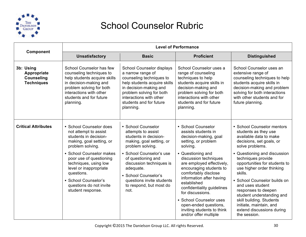

| Component                                                          | <b>Level of Performance</b>                                                                                                                                                                                   |                                                                                                                                                                                                                                     |                                                                                                                                                                                                                                                                                                                                    |                                                                                                                                                                                                                                                                                                                                         |
|--------------------------------------------------------------------|---------------------------------------------------------------------------------------------------------------------------------------------------------------------------------------------------------------|-------------------------------------------------------------------------------------------------------------------------------------------------------------------------------------------------------------------------------------|------------------------------------------------------------------------------------------------------------------------------------------------------------------------------------------------------------------------------------------------------------------------------------------------------------------------------------|-----------------------------------------------------------------------------------------------------------------------------------------------------------------------------------------------------------------------------------------------------------------------------------------------------------------------------------------|
|                                                                    | <b>Unsatisfactory</b>                                                                                                                                                                                         | <b>Basic</b>                                                                                                                                                                                                                        | <b>Proficient</b>                                                                                                                                                                                                                                                                                                                  | <b>Distinguished</b>                                                                                                                                                                                                                                                                                                                    |
| 3b: Using<br>Appropriate<br><b>Counseling</b><br><b>Techniques</b> | School Counselor has few<br>counseling techniques to<br>help students acquire skills<br>in decision-making and<br>problem solving for both<br>interactions with other<br>students and for future<br>planning. | School Counselor displays<br>a narrow range of<br>counseling techniques to<br>help students acquire skills<br>in decision-making and<br>problem solving for both<br>interactions with other<br>students and for future<br>planning. | School Counselor uses a<br>range of counseling<br>techniques to help<br>students acquire skills in<br>decision-making and<br>problem solving for both<br>interactions with other<br>students and for future<br>planning.                                                                                                           | School Counselor uses an<br>extensive range of<br>counseling techniques to help<br>students acquire skills in<br>decision-making and problem<br>solving for both interactions<br>with other students and for<br>future planning.                                                                                                        |
| <b>Critical Attributes</b>                                         | • School Counselor does<br>not attempt to assist<br>students in decision-<br>making, goal setting, or<br>problem solving.                                                                                     | • School Counselor<br>attempts to assist<br>students in decision-<br>making, goal setting, or<br>problem solving.                                                                                                                   | • School Counselor<br>assists students in<br>decision-making, goal<br>setting, or problem<br>solving.                                                                                                                                                                                                                              | • School Counselor mentors<br>students as they use<br>available data to make<br>decisions, set goals, or<br>solve problems.                                                                                                                                                                                                             |
|                                                                    | • School Counselor makes<br>poor use of questioning<br>techniques, using low<br>level or inappropriate<br>questions.<br>• School Counselor's<br>questions do not invite<br>student response.                  | • School Counselor's use<br>of questioning and<br>discussion techniques is<br>adequate.<br>• School Counselor's<br>questions invite students<br>to respond, but most do<br>not.                                                     | • Questioning and<br>discussion techniques<br>are employed effectively,<br>encouraging students to<br>comfortably disclose<br>information after having<br>established<br>confidentiality guidelines<br>for discussions.<br>• School Counselor uses<br>open-ended questions,<br>inviting students to think<br>and/or offer multiple | • Questioning and discussion<br>techniques provide<br>opportunities for students to<br>use higher order thinking<br>skills.<br>• School Counselor builds on<br>and uses student<br>responses to deepen<br>student understanding and<br>skill building. Students<br>initiate, maintain, and<br>extend discussions during<br>the session. |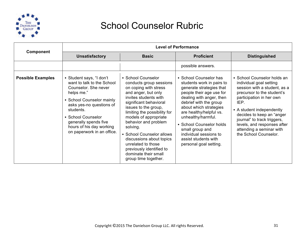

|                          | <b>Level of Performance</b>                                                                                                                                                                                                                                                 |                                                                                                                                                                                                                                                                                                                                                                                                                                  |                                                                                                                                                                                                                                                                                                                                                                         |                                                                                                                                                                                                                                                                                                                                       |
|--------------------------|-----------------------------------------------------------------------------------------------------------------------------------------------------------------------------------------------------------------------------------------------------------------------------|----------------------------------------------------------------------------------------------------------------------------------------------------------------------------------------------------------------------------------------------------------------------------------------------------------------------------------------------------------------------------------------------------------------------------------|-------------------------------------------------------------------------------------------------------------------------------------------------------------------------------------------------------------------------------------------------------------------------------------------------------------------------------------------------------------------------|---------------------------------------------------------------------------------------------------------------------------------------------------------------------------------------------------------------------------------------------------------------------------------------------------------------------------------------|
| Component                | <b>Unsatisfactory</b>                                                                                                                                                                                                                                                       | <b>Basic</b>                                                                                                                                                                                                                                                                                                                                                                                                                     | <b>Proficient</b>                                                                                                                                                                                                                                                                                                                                                       | <b>Distinguished</b>                                                                                                                                                                                                                                                                                                                  |
|                          |                                                                                                                                                                                                                                                                             |                                                                                                                                                                                                                                                                                                                                                                                                                                  | possible answers.                                                                                                                                                                                                                                                                                                                                                       |                                                                                                                                                                                                                                                                                                                                       |
| <b>Possible Examples</b> | • Student says, "I don't<br>want to talk to the School<br>Counselor. She never<br>helps me."<br>• School Counselor mainly<br>asks yes-no questions of<br>students.<br>• School Counselor<br>generally spends five<br>hours of his day working<br>on paperwork in an office. | • School Counselor<br>conducts group sessions<br>on coping with stress<br>and anger, but only<br>invites students with<br>significant behavioral<br>issues to the group,<br>limiting the possibility for<br>models of appropriate<br>behavior and problem<br>solving.<br>• School Counselor allows<br>discussions about topics<br>unrelated to those<br>previously identified to<br>dominate their small<br>group time together. | • School Counselor has<br>students work in pairs to<br>generate strategies that<br>people their age use for<br>dealing with anger, then<br>debrief with the group<br>about which strategies<br>are healthy/helpful vs.<br>unhealthy/harmful.<br>• School Counselor holds<br>small group and<br>individual sessions to<br>assist students with<br>personal goal setting. | • School Counselor holds an<br>individual goal setting<br>session with a student, as a<br>precursor to the student's<br>participation in her own<br>IEP.<br>• A student independently<br>decides to keep an "anger<br>journal" to track triggers,<br>levels, and responses after<br>attending a seminar with<br>the School Counselor. |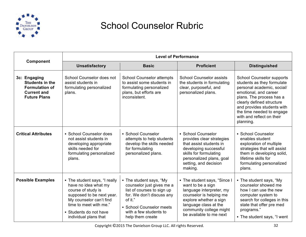

|                                                                                                              | <b>Level of Performance</b>                                                                                                                                                                                      |                                                                                                                                                                                                      |                                                                                                                                                                                                                   |                                                                                                                                                                                                                                                                                     |
|--------------------------------------------------------------------------------------------------------------|------------------------------------------------------------------------------------------------------------------------------------------------------------------------------------------------------------------|------------------------------------------------------------------------------------------------------------------------------------------------------------------------------------------------------|-------------------------------------------------------------------------------------------------------------------------------------------------------------------------------------------------------------------|-------------------------------------------------------------------------------------------------------------------------------------------------------------------------------------------------------------------------------------------------------------------------------------|
| Component                                                                                                    | <b>Unsatisfactory</b>                                                                                                                                                                                            | <b>Basic</b>                                                                                                                                                                                         | <b>Proficient</b>                                                                                                                                                                                                 | <b>Distinguished</b>                                                                                                                                                                                                                                                                |
| 3c: Engaging<br><b>Students in the</b><br><b>Formulation of</b><br><b>Current and</b><br><b>Future Plans</b> | School Counselor does not<br>assist students in<br>formulating personalized<br>plans.                                                                                                                            | <b>School Counselor attempts</b><br>to assist some students in<br>formulating personalized<br>plans, but efforts are<br>inconsistent.                                                                | <b>School Counselor assists</b><br>the students in formulating<br>clear, purposeful, and<br>personalized plans.                                                                                                   | <b>School Counselor supports</b><br>students as they formulate<br>personal academic, social/<br>emotional, and career<br>plans. The process has a<br>clearly defined structure<br>and provides students with<br>the time needed to engage<br>with and reflect on their<br>planning. |
| <b>Critical Attributes</b>                                                                                   | • School Counselor does<br>not assist students in<br>developing appropriate<br>skills needed for<br>formulating personalized<br>plans.                                                                           | • School Counselor<br>attempts to help students<br>develop the skills needed<br>for formulating<br>personalized plans.                                                                               | • School Counselor<br>provides clear strategies<br>that assist students in<br>developing successful<br>skills for formulating<br>personalized plans, goal<br>setting, and decision<br>making.                     | • School Counselor<br>enables student<br>exploration of multiple<br>strategies that will assist<br>them in developing solid,<br>lifetime skills for<br>formulating personalized<br>plans.                                                                                           |
| <b>Possible Examples</b>                                                                                     | • The student says, "I really<br>have no idea what my<br>course of study is<br>supposed to be next year.<br>My counselor can't find<br>time to meet with me."<br>• Students do not have<br>individual plans that | • The student says, "My<br>counselor just gives me a<br>list of courses to sign up<br>for. We don't discuss any<br>of it."<br>• School Counselor meets<br>with a few students to<br>help them create | • The student says, "Since I<br>want to be a sign<br>language interpreter, my<br>counselor is helping me<br>explore whether a sign<br>language class at the<br>community college might<br>be available to me next | • The student says, "My<br>counselor showed me<br>how I can use the new<br>computer system to<br>search for colleges in this<br>state that offer pre med<br>programs."<br>• The student says, "I went                                                                               |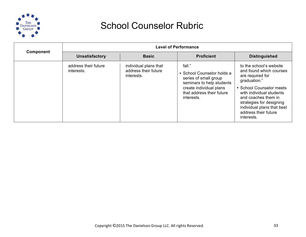

| <b>Component</b> | <b>Level of Performance</b>        |                                                             |                                                                                                                                                                  |                                                                                                                                                                                                                                                                       |
|------------------|------------------------------------|-------------------------------------------------------------|------------------------------------------------------------------------------------------------------------------------------------------------------------------|-----------------------------------------------------------------------------------------------------------------------------------------------------------------------------------------------------------------------------------------------------------------------|
|                  | <b>Unsatisfactory</b>              | <b>Basic</b>                                                | <b>Proficient</b>                                                                                                                                                | <b>Distinguished</b>                                                                                                                                                                                                                                                  |
|                  | address their future<br>interests. | individual plans that<br>address their future<br>interests. | fall."<br>• School Counselor holds a<br>series of small group<br>seminars to help students<br>create individual plans<br>that address their future<br>interests. | to the school's website<br>and found which courses<br>are required for<br>graduation."<br>• School Counselor meets<br>with individual students<br>and coaches them in<br>strategies for designing<br>individual plans that best<br>address their future<br>interests. |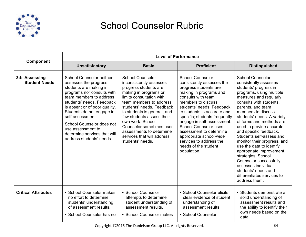

|                                       | <b>Level of Performance</b>                                                                                                                                                                                                                                                                                                                                             |                                                                                                                                                                                                                                                                                                                                                                                           |                                                                                                                                                                                                                                                                                                                                                                                                                                        |                                                                                                                                                                                                                                                                                                                                                                                                                                                                                                                                                                                      |
|---------------------------------------|-------------------------------------------------------------------------------------------------------------------------------------------------------------------------------------------------------------------------------------------------------------------------------------------------------------------------------------------------------------------------|-------------------------------------------------------------------------------------------------------------------------------------------------------------------------------------------------------------------------------------------------------------------------------------------------------------------------------------------------------------------------------------------|----------------------------------------------------------------------------------------------------------------------------------------------------------------------------------------------------------------------------------------------------------------------------------------------------------------------------------------------------------------------------------------------------------------------------------------|--------------------------------------------------------------------------------------------------------------------------------------------------------------------------------------------------------------------------------------------------------------------------------------------------------------------------------------------------------------------------------------------------------------------------------------------------------------------------------------------------------------------------------------------------------------------------------------|
| Component                             | <b>Unsatisfactory</b>                                                                                                                                                                                                                                                                                                                                                   | <b>Basic</b>                                                                                                                                                                                                                                                                                                                                                                              | <b>Proficient</b>                                                                                                                                                                                                                                                                                                                                                                                                                      | <b>Distinguished</b>                                                                                                                                                                                                                                                                                                                                                                                                                                                                                                                                                                 |
| 3d: Assessing<br><b>Student Needs</b> | <b>School Counselor neither</b><br>assesses the progress<br>students are making in<br>programs nor consults with<br>team members to address<br>students' needs. Feedback<br>is absent or of poor quality.<br>Students do not engage in<br>self-assessment.<br>School Counselor does not<br>use assessment to<br>determine services that will<br>address students' needs | <b>School Counselor</b><br>inconsistently assesses<br>progress students are<br>making in programs or<br>limits consultation with<br>team members to address<br>students' needs. Feedback<br>to students is general, and<br>few students assess their<br>own work. School<br><b>Counselor sometimes uses</b><br>assessments to determine<br>services that will address<br>students' needs. | <b>School Counselor</b><br>consistently assesses the<br>progress students are<br>making in programs and<br>consults with team<br>members to discuss<br>students' needs. Feedback<br>to students is accurate and<br>specific; students frequently<br>engage in self-assessment.<br><b>School Counselor uses</b><br>assessment to determine<br>appropriate school-wide<br>services to address the<br>needs of the student<br>population. | <b>School Counselor</b><br>consistently assesses<br>students' progress in<br>programs, using multiple<br>measures and regularly<br>consults with students.<br>parents, and team<br>members to discuss<br>students' needs. A variety<br>of forms and methods are<br>used to provide accurate<br>and specific feedback.<br>Students self-assess and<br>monitor their progress, and<br>use the data to identify<br>appropriate improvement<br>strategies. School<br>Counselor successfully<br>assesses individual<br>students' needs and<br>differentiates services to<br>address them. |
| <b>Critical Attributes</b>            | • School Counselor makes<br>no effort to determine<br>students' understanding<br>of assessment results.<br>• School Counselor has no                                                                                                                                                                                                                                    | • School Counselor<br>attempts to determine<br>student understanding of<br>assessment results.<br>• School Counselor makes                                                                                                                                                                                                                                                                | • School Counselor elicits<br>clear evidence of student<br>understanding of<br>assessment results.<br>• School Counselor                                                                                                                                                                                                                                                                                                               | • Students demonstrate a<br>solid understanding of<br>assessment results and<br>the ability to identify their<br>own needs based on the<br>data.                                                                                                                                                                                                                                                                                                                                                                                                                                     |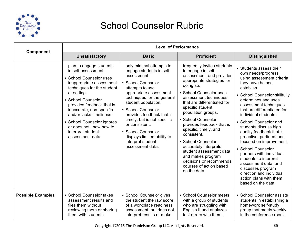

|                          |                                                                                                                                                                                                                                                                                                                                                                 | <b>Level of Performance</b>                                                                                                                                                                                                                                                                                                                                                                   |                                                                                                                                                                                                                                                                                                                                                                                                                                                                                                                       |                                                                                                                                                                                                                                                                                                                                                                                                                                                                                                                                                                                                |
|--------------------------|-----------------------------------------------------------------------------------------------------------------------------------------------------------------------------------------------------------------------------------------------------------------------------------------------------------------------------------------------------------------|-----------------------------------------------------------------------------------------------------------------------------------------------------------------------------------------------------------------------------------------------------------------------------------------------------------------------------------------------------------------------------------------------|-----------------------------------------------------------------------------------------------------------------------------------------------------------------------------------------------------------------------------------------------------------------------------------------------------------------------------------------------------------------------------------------------------------------------------------------------------------------------------------------------------------------------|------------------------------------------------------------------------------------------------------------------------------------------------------------------------------------------------------------------------------------------------------------------------------------------------------------------------------------------------------------------------------------------------------------------------------------------------------------------------------------------------------------------------------------------------------------------------------------------------|
| Component                | <b>Unsatisfactory</b>                                                                                                                                                                                                                                                                                                                                           | <b>Basic</b>                                                                                                                                                                                                                                                                                                                                                                                  | <b>Proficient</b>                                                                                                                                                                                                                                                                                                                                                                                                                                                                                                     | <b>Distinguished</b>                                                                                                                                                                                                                                                                                                                                                                                                                                                                                                                                                                           |
|                          | plan to engage students<br>in self-assessment.<br>• School Counselor uses<br>inappropriate assessment<br>techniques for the student<br>or setting.<br>• School Counselor<br>provides feedback that is<br>inaccurate, non-specific<br>and/or lacks timeliness.<br>• School Counselor ignores<br>or does not know how to<br>interpret student<br>assessment data. | only minimal attempts to<br>engage students in self-<br>assessment.<br>• School Counselor<br>attempts to use<br>appropriate assessment<br>techniques for the general<br>student population.<br>• School Counselor<br>provides feedback that is<br>timely, but is not specific<br>or consistent.<br>• School Counselor<br>displays limited ability to<br>interpret student<br>assessment data. | frequently invites students<br>to engage in self-<br>assessment, and provides<br>appropriate strategies for<br>doing so.<br>• School Counselor uses<br>assessment techniques<br>that are differentiated for<br>specific student<br>population groups.<br>• School Counselor<br>provides feedback that is<br>specific, timely, and<br>consistent.<br>• School Counselor<br>accurately interprets<br>student assessment data<br>and makes program<br>decisions or recommends<br>courses of action based<br>on the data. | • Students assess their<br>own needs/progress<br>using assessment criteria<br>they have helped<br>establish.<br>• School Counselor skillfully<br>determines and uses<br>assessment techniques<br>that are differentiated for<br>individual students.<br>• School Counselor and<br>students discuss high<br>quality feedback that is<br>proactive, pertinent and<br>focused on improvement.<br>• School Counselor<br>partners with individual<br>students to interpret<br>assessment data, and<br>discusses program<br>direction and individual<br>action plans with them<br>based on the data. |
| <b>Possible Examples</b> | • School Counselor takes<br>assessment results and<br>files them without<br>reviewing them or sharing<br>them with students.                                                                                                                                                                                                                                    | • School Counselor gives<br>the student the raw score<br>of a workplace readiness<br>assessment, but does not<br>interpret results or make                                                                                                                                                                                                                                                    | • School Counselor meets<br>with a group of students<br>who are struggling with<br>English II and analyzes<br>test errors with them.                                                                                                                                                                                                                                                                                                                                                                                  | • School Counselor assists<br>students in establishing a<br>homework self-study<br>group that meets weekly<br>in the conference room.                                                                                                                                                                                                                                                                                                                                                                                                                                                          |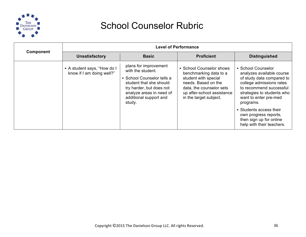

| <b>Component</b> | <b>Level of Performance</b>                              |                                                                                                                                                                                                 |                                                                                                                                                                                       |                                                                                                                                                                                                                                                                                                                     |
|------------------|----------------------------------------------------------|-------------------------------------------------------------------------------------------------------------------------------------------------------------------------------------------------|---------------------------------------------------------------------------------------------------------------------------------------------------------------------------------------|---------------------------------------------------------------------------------------------------------------------------------------------------------------------------------------------------------------------------------------------------------------------------------------------------------------------|
|                  | <b>Unsatisfactory</b>                                    | <b>Basic</b>                                                                                                                                                                                    | <b>Proficient</b>                                                                                                                                                                     | <b>Distinguished</b>                                                                                                                                                                                                                                                                                                |
|                  | • A student says, "How do I<br>know if I am doing well?" | plans for improvement<br>with the student.<br>• School Counselor tells a<br>student that she should<br>try harder, but does not<br>analyze areas in need of<br>additional support and<br>study. | • School Counselor shows<br>benchmarking data to a<br>student with special<br>needs. Based on the<br>data, the counselor sets<br>up after-school assistance<br>in the target subject. | • School Counselor<br>analyzes available course<br>of study data compared to<br>college admissions rates<br>to recommend successful<br>strategies to students who<br>want to enter pre-med<br>programs.<br>• Students access their<br>own progress reports,<br>then sign up for online<br>help with their teachers. |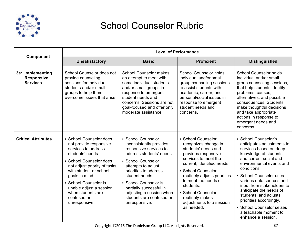

| Component                                                |                                                                                                                                                                                                                                                                                                              |                                                                                                                                                                                                                                                                                                                         | <b>Level of Performance</b>                                                                                                                                                                                                                                                                                                  |                                                                                                                                                                                                                                                                                                                                                                                                                            |
|----------------------------------------------------------|--------------------------------------------------------------------------------------------------------------------------------------------------------------------------------------------------------------------------------------------------------------------------------------------------------------|-------------------------------------------------------------------------------------------------------------------------------------------------------------------------------------------------------------------------------------------------------------------------------------------------------------------------|------------------------------------------------------------------------------------------------------------------------------------------------------------------------------------------------------------------------------------------------------------------------------------------------------------------------------|----------------------------------------------------------------------------------------------------------------------------------------------------------------------------------------------------------------------------------------------------------------------------------------------------------------------------------------------------------------------------------------------------------------------------|
|                                                          | <b>Unsatisfactory</b>                                                                                                                                                                                                                                                                                        | <b>Basic</b>                                                                                                                                                                                                                                                                                                            | <b>Proficient</b>                                                                                                                                                                                                                                                                                                            | <b>Distinguished</b>                                                                                                                                                                                                                                                                                                                                                                                                       |
| 3e: Implementing<br><b>Responsive</b><br><b>Services</b> | School Counselor does not<br>provide counseling<br>sessions for individual<br>students and/or small<br>groups to help them<br>overcome issues that arise.                                                                                                                                                    | <b>School Counselor makes</b><br>an attempt to meet with<br>some individual students<br>and/or small groups in<br>response to emergent<br>student needs and<br>concerns. Sessions are not<br>goal-focused and offer only<br>moderate assistance.                                                                        | <b>School Counselor holds</b><br>individual and/or small<br>group counseling sessions<br>to assist students with<br>academic, career, and<br>personal/social issues in<br>response to emergent<br>student needs and<br>concerns.                                                                                             | <b>School Counselor holds</b><br>individual and/or small<br>group counseling sessions,<br>that help students identify<br>problems, causes,<br>alternatives, and possible<br>consequences. Students<br>make thoughtful decisions<br>and take appropriate<br>actions in response to<br>emergent needs and<br>concerns.                                                                                                       |
| <b>Critical Attributes</b>                               | • School Counselor does<br>not provide responsive<br>services to address<br>students' needs.<br>• School Counselor does<br>not adjust priority of tasks<br>with student or school<br>goals in mind.<br>• School Counselor is<br>unable adjust a session<br>when students are<br>confused or<br>unresponsive. | • School Counselor<br>inconsistently provides<br>responsive services to<br>address students' needs.<br>• School Counselor<br>attempts to adjust<br>priorities to address<br>student needs.<br>• School Counselor is<br>partially successful in<br>adjusting a session when<br>students are confused or<br>unresponsive. | • School Counselor<br>recognizes change in<br>students' needs and<br>provides responsive<br>services to meet the<br>current, identified needs.<br>• School Counselor<br>routinely adjusts priorities<br>to meet the needs of<br>students.<br>• School Counselor<br>routinely makes<br>adjustments to a session<br>as needed. | • School Counselor's<br>anticipates adjustments to<br>services based on deep<br>knowledge of students<br>and current social and<br>environmental events and<br>conditions.<br>• School Counselor uses<br>various data sources and<br>input from stakeholders to<br>anticipate the needs of<br>students, and adjusts<br>priorities accordingly.<br>• School Counselor seizes<br>a teachable moment to<br>enhance a session. |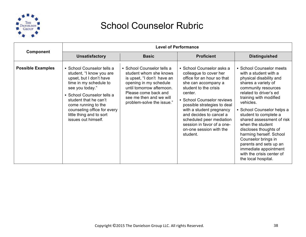

|                          | <b>Level of Performance</b>                                                                                                                                                                                                                                                                    |                                                                                                                                                                                                                           |                                                                                                                                                                                                                                                                                                                                                                   |                                                                                                                                                                                                                                                                                                                                                                                                                                                                                       |
|--------------------------|------------------------------------------------------------------------------------------------------------------------------------------------------------------------------------------------------------------------------------------------------------------------------------------------|---------------------------------------------------------------------------------------------------------------------------------------------------------------------------------------------------------------------------|-------------------------------------------------------------------------------------------------------------------------------------------------------------------------------------------------------------------------------------------------------------------------------------------------------------------------------------------------------------------|---------------------------------------------------------------------------------------------------------------------------------------------------------------------------------------------------------------------------------------------------------------------------------------------------------------------------------------------------------------------------------------------------------------------------------------------------------------------------------------|
| <b>Component</b>         | <b>Unsatisfactory</b>                                                                                                                                                                                                                                                                          | <b>Basic</b>                                                                                                                                                                                                              | <b>Proficient</b>                                                                                                                                                                                                                                                                                                                                                 | <b>Distinguished</b>                                                                                                                                                                                                                                                                                                                                                                                                                                                                  |
| <b>Possible Examples</b> | • School Counselor tells a<br>student, "I know you are<br>upset, but I don't have<br>time in my schedule to<br>see you today."<br>• School Counselor tells a<br>student that he can't<br>come running to the<br>counseling office for every<br>little thing and to sort<br>issues out himself. | • School Counselor tells a<br>student whom she knows<br>is upset, "I don't have an<br>opening in my schedule<br>until tomorrow afternoon.<br>Please come back and<br>see me then and we will<br>problem-solve the issue." | • School Counselor asks a<br>colleague to cover her<br>office for an hour so that<br>she can accompany a<br>student to the crisis<br>center.<br>• School Counselor reviews<br>possible strategies to deal<br>with a student pregnancy<br>and decides to cancel a<br>scheduled peer mediation<br>session in favor of a one-<br>on-one session with the<br>student. | • School Counselor meets<br>with a student with a<br>physical disability and<br>shares a variety of<br>community resources<br>related to driver's ed<br>training with modified<br>vehicles.<br>• School Counselor helps a<br>student to complete a<br>shared assessment of risk<br>when the student<br>discloses thoughts of<br>harming herself. School<br>Counselor brings in<br>parents and sets up an<br>immediate appointment<br>with the crisis center of<br>the local hospital. |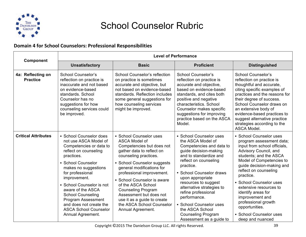

#### **Domain 4 for School Counselors: Professional Responsibilities**

|                                      | <b>Level of Performance</b>                                                                                                                                                                                                                                                                                                                                                                     |                                                                                                                                                                                                                                                                                                                                                                                                                    |                                                                                                                                                                                                                                                                                                                                                                                                                      |                                                                                                                                                                                                                                                                                                                                                                                                                             |
|--------------------------------------|-------------------------------------------------------------------------------------------------------------------------------------------------------------------------------------------------------------------------------------------------------------------------------------------------------------------------------------------------------------------------------------------------|--------------------------------------------------------------------------------------------------------------------------------------------------------------------------------------------------------------------------------------------------------------------------------------------------------------------------------------------------------------------------------------------------------------------|----------------------------------------------------------------------------------------------------------------------------------------------------------------------------------------------------------------------------------------------------------------------------------------------------------------------------------------------------------------------------------------------------------------------|-----------------------------------------------------------------------------------------------------------------------------------------------------------------------------------------------------------------------------------------------------------------------------------------------------------------------------------------------------------------------------------------------------------------------------|
| Component                            | <b>Unsatisfactory</b>                                                                                                                                                                                                                                                                                                                                                                           | <b>Basic</b>                                                                                                                                                                                                                                                                                                                                                                                                       | <b>Proficient</b>                                                                                                                                                                                                                                                                                                                                                                                                    | <b>Distinguished</b>                                                                                                                                                                                                                                                                                                                                                                                                        |
| 4a: Reflecting on<br><b>Practice</b> | School Counselor's<br>reflection on practice is<br>inaccurate and not based<br>on evidence-based<br>standards. School<br>Counselor has no<br>suggestions for how<br>counseling services could<br>be improved.                                                                                                                                                                                   | School Counselor's reflection<br>on practice is sometimes<br>accurate and objective, but<br>not based on evidence-based<br>standards. Reflection includes<br>some general suggestions for<br>how counseling services<br>might be improved.                                                                                                                                                                         | School Counselor's<br>reflection on practice is<br>accurate and objective,<br>based on evidence-based<br>standards, and cites both<br>positive and negative<br>characteristics. School<br>Counselor makes specific<br>suggestions for improving<br>practice based on the ASCA<br>Model.                                                                                                                              | School Counselor's<br>reflection on practice is<br>thoughtful and accurate,<br>citing specific examples of<br>practices and the reasons for<br>their degree of success.<br>School Counselor draws on<br>an extensive body of<br>evidence-based practices to<br>suggest alternative practice<br>strategies according to the<br>ASCA Model.                                                                                   |
| <b>Critical Attributes</b>           | • School Counselor does<br>not use ASCA Model of<br>Competencies or data to<br>reflect on counseling<br>practices.<br>• School Counselor<br>makes no suggestions<br>for professional<br>improvement.<br>• School Counselor is not<br>aware of the ASCA<br><b>School Counseling</b><br><b>Program Assessment</b><br>and does not create the<br><b>ASCA School Counselor</b><br>Annual Agreement. | • School Counselor uses<br>ASCA Model of<br>Competencies but does not<br>gather data to reflect on<br>counseling practices.<br>• School Counselor suggests<br>general modifications for<br>professional improvement.<br>• School Counselor is aware<br>of the ASCA School<br><b>Counseling Program</b><br>Assessment but does not<br>use it as a guide to create<br>the ASCA School Counselor<br>Annual Agreement. | • School Counselor uses<br>the ASCA Model of<br>Competencies and data to<br>guide decision-making<br>and to standardize and<br>reflect on counseling<br>practice.<br>• School Counselor draws<br>upon appropriate<br>resources to suggest<br>alternative strategies to<br>refine professional<br>performance.<br>• School Counselor uses<br>the ASCA School<br><b>Counseling Program</b><br>Assessment as a guide to | • School Counselor uses<br>program assessment data;<br>input from school officials,<br>Advisory Council, and<br>students; and the ASCA<br>Model of Competencies to<br>guide decision-making and<br>reflect on counseling<br>practice.<br>• School Counselor uses<br>extensive resources to<br>identify areas for<br>improvement and<br>professional growth<br>opportunities.<br>• School Counselor uses<br>deep and nuanced |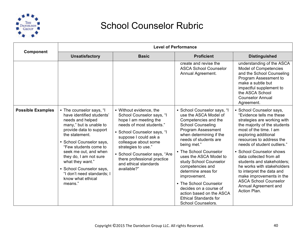

| Component                | <b>Level of Performance</b>                                                                                                                                                                                                                                                                                                                                             |                                                                                                                                                                                                                                                                                                                          |                                                                                                                                                                                                                                                                                                                                                                                                                                                                                         |                                                                                                                                                                                                                                                                                                                                                                                                                                                                                      |
|--------------------------|-------------------------------------------------------------------------------------------------------------------------------------------------------------------------------------------------------------------------------------------------------------------------------------------------------------------------------------------------------------------------|--------------------------------------------------------------------------------------------------------------------------------------------------------------------------------------------------------------------------------------------------------------------------------------------------------------------------|-----------------------------------------------------------------------------------------------------------------------------------------------------------------------------------------------------------------------------------------------------------------------------------------------------------------------------------------------------------------------------------------------------------------------------------------------------------------------------------------|--------------------------------------------------------------------------------------------------------------------------------------------------------------------------------------------------------------------------------------------------------------------------------------------------------------------------------------------------------------------------------------------------------------------------------------------------------------------------------------|
|                          | <b>Unsatisfactory</b>                                                                                                                                                                                                                                                                                                                                                   | <b>Basic</b>                                                                                                                                                                                                                                                                                                             | <b>Proficient</b>                                                                                                                                                                                                                                                                                                                                                                                                                                                                       | <b>Distinguished</b>                                                                                                                                                                                                                                                                                                                                                                                                                                                                 |
|                          |                                                                                                                                                                                                                                                                                                                                                                         |                                                                                                                                                                                                                                                                                                                          | create and revise the<br><b>ASCA School Counselor</b><br>Annual Agreement.                                                                                                                                                                                                                                                                                                                                                                                                              | understanding of the ASCA<br>Model of Competencies<br>and the School Counseling<br>Program Assessment to<br>make a subtle but<br>impactful supplement to<br>the ASCA School<br><b>Counselor Annual</b><br>Agreement.                                                                                                                                                                                                                                                                 |
| <b>Possible Examples</b> | • The counselor says, "I<br>have identified students'<br>needs and helped<br>many," but is unable to<br>provide data to support<br>the statement.<br>• School Counselor says,<br>"Few students come to<br>seek me out, and when<br>they do, I am not sure<br>what they want."<br>• School Counselor says,<br>"I don't need standards; I<br>know what ethical<br>means." | • Without evidence, the<br>School Counselor says, "I<br>hope I am meeting the<br>needs of most students."<br>• School Counselor says, "I<br>suppose I could ask a<br>colleague about some<br>strategies to use."<br>• School Counselor says, "Are<br>there professional practice<br>and ethical standards<br>available?" | • School Counselor says, "I<br>use the ASCA Model of<br>Competencies and the<br><b>School Counseling</b><br>Program Assessment<br>when determining if the<br>needs of students are<br>being met."<br>• The School Counselor<br>uses the ASCA Model to<br>study School Counselor<br>competencies and<br>determine areas for<br>improvement.<br>• The School Counselor<br>decides on a course of<br>action based on the ASCA<br><b>Ethical Standards for</b><br><b>School Counselors.</b> | • School Counselor says,<br>"Evidence tells me these<br>strategies are working with<br>the majority of the students<br>most of the time. I am<br>exploring additional<br>resources to address the<br>needs of student outliers."<br>• School Counselor shows<br>data collected from all<br>students and stakeholders;<br>he works with stakeholders<br>to interpret the data and<br>make improvements in the<br><b>ASCA School Counselor</b><br>Annual Agreement and<br>Action Plan. |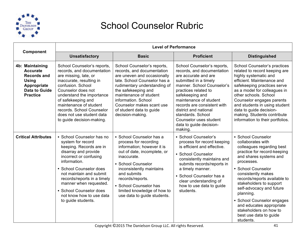

|                                                                                                                                    | <b>Level of Performance</b>                                                                                                                                                                                                                                                                                                             |                                                                                                                                                                                                                                                                                                               |                                                                                                                                                                                                                                                                                                                                                            |                                                                                                                                                                                                                                                                                                                                                                                                                        |  |
|------------------------------------------------------------------------------------------------------------------------------------|-----------------------------------------------------------------------------------------------------------------------------------------------------------------------------------------------------------------------------------------------------------------------------------------------------------------------------------------|---------------------------------------------------------------------------------------------------------------------------------------------------------------------------------------------------------------------------------------------------------------------------------------------------------------|------------------------------------------------------------------------------------------------------------------------------------------------------------------------------------------------------------------------------------------------------------------------------------------------------------------------------------------------------------|------------------------------------------------------------------------------------------------------------------------------------------------------------------------------------------------------------------------------------------------------------------------------------------------------------------------------------------------------------------------------------------------------------------------|--|
| Component                                                                                                                          | <b>Unsatisfactory</b>                                                                                                                                                                                                                                                                                                                   | <b>Basic</b>                                                                                                                                                                                                                                                                                                  | <b>Proficient</b>                                                                                                                                                                                                                                                                                                                                          | <b>Distinguished</b>                                                                                                                                                                                                                                                                                                                                                                                                   |  |
| 4b: Maintaining<br><b>Accurate</b><br><b>Records and</b><br><b>Using</b><br>Appropriate<br><b>Data to Guide</b><br><b>Practice</b> | School Counselor's reports,<br>records, and documentation<br>are missing, late, or<br>inaccurate, resulting in<br>confusion. School<br>Counselor does not<br>understand the importance<br>of safekeeping and<br>maintenance of student<br>records. School Counselor<br>does not use student data<br>to guide decision-making.           | School Counselor's reports,<br>records, and documentation<br>are uneven and occasionally<br>late. School Counselor has a<br>rudimentary understanding of<br>the safekeeping and<br>maintenance of student<br>information. School<br>Counselor makes scant use<br>of student data to guide<br>decision-making. | School Counselor's reports,<br>records, and documentation<br>are accurate and are<br>submitted in a timely<br>manner. School Counselor's<br>practices related to<br>safekeeping and<br>maintenance of student<br>records are consistent with<br>district and national<br>standards, School<br>Counselor uses student<br>data to guide decision-<br>making. | School Counselor's practices<br>related to record keeping are<br>highly systematic and<br>efficient. Maintenance and<br>safekeeping practices serve<br>as a model for colleagues in<br>other schools, School<br>Counselor engages parents<br>and students in using student<br>data to guide decision-<br>making. Students contribute<br>information to their portfolios.                                               |  |
| <b>Critical Attributes</b>                                                                                                         | • School Counselor has no<br>system for record<br>keeping. Records are in<br>disarray and provide<br>incorrect or confusing<br>information.<br>• School Counselor does<br>not maintain and submit<br>records/reports in a timely<br>manner when requested.<br>• School Counselor does<br>not know how to use data<br>to guide students. | • School Counselor has a<br>process for recording<br>information; however it is<br>out of date, incomplete, or<br>inaccurate.<br>• School Counselor<br>inconsistently maintains<br>and submits<br>records/reports.<br>• School Counselor has<br>limited knowledge of how to<br>use data to guide students.    | • School Counselor's<br>process for record keeping<br>is efficient and effective.<br>• School Counselor<br>consistently maintains and<br>submits records/reports in<br>a timely manner.<br>• School Counselor has a<br>clear understanding of<br>how to use data to guide<br>students.                                                                     | • School Counselor<br>collaborates with<br>colleagues regarding best<br>practice for record-keeping<br>and shares systems and<br>processes.<br>• School Counselor<br>consistently makes<br>records/reports available to<br>stakeholders to support<br>self-advocacy and future<br>planning.<br>• School Counselor engages<br>and educates appropriate<br>stakeholders on how to<br>best use data to guide<br>students. |  |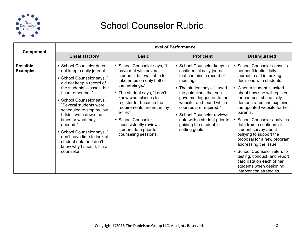

|                                    | <b>Level of Performance</b>                                                                                                                                                                                                                                                                                                                                                                                                                         |                                                                                                                                                                                                                                                                                                                                                                  |                                                                                                                                                                                                                                                                                                                                                           |                                                                                                                                                                                                                                                                                                                                                                                                                                                                                                                                                                                                       |  |
|------------------------------------|-----------------------------------------------------------------------------------------------------------------------------------------------------------------------------------------------------------------------------------------------------------------------------------------------------------------------------------------------------------------------------------------------------------------------------------------------------|------------------------------------------------------------------------------------------------------------------------------------------------------------------------------------------------------------------------------------------------------------------------------------------------------------------------------------------------------------------|-----------------------------------------------------------------------------------------------------------------------------------------------------------------------------------------------------------------------------------------------------------------------------------------------------------------------------------------------------------|-------------------------------------------------------------------------------------------------------------------------------------------------------------------------------------------------------------------------------------------------------------------------------------------------------------------------------------------------------------------------------------------------------------------------------------------------------------------------------------------------------------------------------------------------------------------------------------------------------|--|
| <b>Component</b>                   | <b>Unsatisfactory</b><br><b>Basic</b><br><b>Proficient</b>                                                                                                                                                                                                                                                                                                                                                                                          | <b>Distinguished</b>                                                                                                                                                                                                                                                                                                                                             |                                                                                                                                                                                                                                                                                                                                                           |                                                                                                                                                                                                                                                                                                                                                                                                                                                                                                                                                                                                       |  |
| <b>Possible</b><br><b>Examples</b> | • School Counselor does<br>not keep a daily journal.<br>• School Counselor says, "I<br>did not keep a record of<br>the students' classes, but<br>I can remember."<br>• School Counselor says,<br>"Several students were<br>scheduled to stop by, but<br>I didn't write down the<br>times or what they<br>needed."<br>• School Counselor says, "I<br>don't have time to look at<br>student data and don't<br>know why I should; I'm a<br>counselor!" | • School Counselor says, "I<br>have met with several<br>students, but was able to<br>take notes on only half of<br>the meetings."<br>• The student says, "I don't<br>know what classes to<br>register for because the<br>requirements are not in my<br>e-file."<br>• School Counselor<br>inconsistently reviews<br>student data prior to<br>counseling sessions. | • School Counselor keeps a<br>confidential daily journal<br>that contains a record of<br>meetings.<br>• The student says, "I used<br>the guidelines that you<br>gave me, logged on to the<br>website, and found which<br>courses are required."<br>• School Counselor reviews<br>data with a student prior to<br>guiding the student in<br>setting goals. | • School Counselor consults<br>her confidential daily<br>journal to aid in making<br>decisions with students.<br>• When a student is asked<br>about how she will register<br>for courses, she quickly<br>demonstrates and explains<br>the updated website for her<br>parents.<br>• School Counselor analyzes<br>data from a confidential<br>student survey about<br>bullying to support the<br>proposal for a new program<br>addressing the issue.<br>• School Counselor refers to<br>testing, conduct, and report<br>card data on each of her<br>students when designing<br>intervention strategies. |  |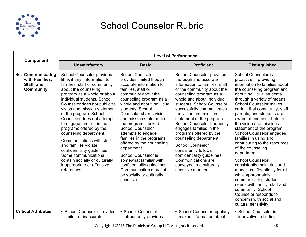

|                                                                              | <b>Level of Performance</b>                                                                                                                                                                                                                                                                                                                                                                                                                                                                                                                                                                  |                                                                                                                                                                                                                                                                                                                                                                                                                                                                                                                                                                             |                                                                                                                                                                                                                                                                                                                                                                                                                                                                                                                                                                                     |                                                                                                                                                                                                                                                                                                                                                                                                                                                                                                                                                                                                                                                                                                                                                                               |  |
|------------------------------------------------------------------------------|----------------------------------------------------------------------------------------------------------------------------------------------------------------------------------------------------------------------------------------------------------------------------------------------------------------------------------------------------------------------------------------------------------------------------------------------------------------------------------------------------------------------------------------------------------------------------------------------|-----------------------------------------------------------------------------------------------------------------------------------------------------------------------------------------------------------------------------------------------------------------------------------------------------------------------------------------------------------------------------------------------------------------------------------------------------------------------------------------------------------------------------------------------------------------------------|-------------------------------------------------------------------------------------------------------------------------------------------------------------------------------------------------------------------------------------------------------------------------------------------------------------------------------------------------------------------------------------------------------------------------------------------------------------------------------------------------------------------------------------------------------------------------------------|-------------------------------------------------------------------------------------------------------------------------------------------------------------------------------------------------------------------------------------------------------------------------------------------------------------------------------------------------------------------------------------------------------------------------------------------------------------------------------------------------------------------------------------------------------------------------------------------------------------------------------------------------------------------------------------------------------------------------------------------------------------------------------|--|
| Component                                                                    | <b>Unsatisfactory</b>                                                                                                                                                                                                                                                                                                                                                                                                                                                                                                                                                                        | <b>Basic</b>                                                                                                                                                                                                                                                                                                                                                                                                                                                                                                                                                                | <b>Proficient</b>                                                                                                                                                                                                                                                                                                                                                                                                                                                                                                                                                                   | <b>Distinguished</b>                                                                                                                                                                                                                                                                                                                                                                                                                                                                                                                                                                                                                                                                                                                                                          |  |
| <b>4c: Communicating</b><br>with Families,<br>Staff, and<br><b>Community</b> | <b>School Counselor provides</b><br>little, if any, information to<br>families, staff or community<br>about the counseling<br>program as a whole or about<br>individual students. School<br>Counselor does not publicize<br>vision and mission statement<br>of the program. School<br>Counselor does not attempt<br>to engage families in the<br>programs offered by the<br>counseling department.<br>Communications with staff<br>and families violate<br>confidentiality guidelines.<br>Some communications<br>contain socially or culturally<br>inappropriate or offensive<br>references. | <b>School Counselor</b><br>provides limited though<br>accurate information to<br>families, staff or<br>community about the<br>counseling program as a<br>whole and about individual<br>students, School<br>Counselor shares vision<br>and mission statement of<br>the program if asked.<br><b>School Counselor</b><br>attempts to engage<br>families in the programs<br>offered by the counseling<br>department.<br><b>School Counselor is</b><br>somewhat familiar with<br>confidentiality guidelines.<br>Communication may not<br>be socially or culturally<br>sensitive. | <b>School Counselor provides</b><br>thorough and accurate<br>information to families, staff<br>or the community about the<br>counseling program as a<br>whole and about individual<br>students. School Counselor<br>successfully communicates<br>the vision and mission<br>statement of the program.<br><b>School Counselor frequently</b><br>engages families in the<br>programs offered by the<br>counseling department.<br><b>School Counselor</b><br>consistently follows<br>confidentiality guidelines.<br>Communications are<br>conveyed in a culturally<br>sensitive manner. | <b>School Counselor is</b><br>proactive in providing<br>information to families about<br>the counseling program and<br>about individual students<br>through a variety of means.<br><b>School Counselor makes</b><br>certain that community, staff,<br>parents, and students are<br>aware of and contribute to<br>the vision and missions<br>statement of the program.<br>School Counselor engages<br>families in using and<br>contributing to the resources<br>of the counseling<br>department.<br><b>School Counselor</b><br>consistently maintains and<br>models confidentiality for all<br>while appropriately<br>communicating student<br>needs with family, staff and<br>community. School<br>Counselor responds to<br>concerns with social and<br>cultural sensitivity. |  |
| <b>Critical Attributes</b>                                                   | • School Counselor provides<br>limited or inaccurate                                                                                                                                                                                                                                                                                                                                                                                                                                                                                                                                         | • School Counselor<br>infrequently provides                                                                                                                                                                                                                                                                                                                                                                                                                                                                                                                                 | • School Counselor regularly<br>makes information about                                                                                                                                                                                                                                                                                                                                                                                                                                                                                                                             | • School Counselor is<br>innovative in finding                                                                                                                                                                                                                                                                                                                                                                                                                                                                                                                                                                                                                                                                                                                                |  |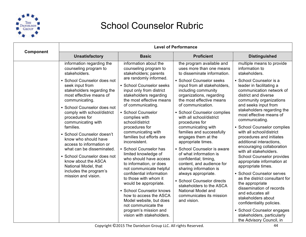

|           | <b>Level of Performance</b>                                                                                                                                                                                                                                                                                                                                                                                                                                                                                                                                       |                                                                                                                                                                                                                                                                                                                                                                                                                                                                                                                                                                                                                                                                                                                                                                   |                                                                                                                                                                                                                                                                                                                                                                                                                                                                                                                                                                                                                                                                                                                              |                                                                                                                                                                                                                                                                                                                                                                                                                                                                                                                                                                                                                                                                                                                                                                                                                                               |
|-----------|-------------------------------------------------------------------------------------------------------------------------------------------------------------------------------------------------------------------------------------------------------------------------------------------------------------------------------------------------------------------------------------------------------------------------------------------------------------------------------------------------------------------------------------------------------------------|-------------------------------------------------------------------------------------------------------------------------------------------------------------------------------------------------------------------------------------------------------------------------------------------------------------------------------------------------------------------------------------------------------------------------------------------------------------------------------------------------------------------------------------------------------------------------------------------------------------------------------------------------------------------------------------------------------------------------------------------------------------------|------------------------------------------------------------------------------------------------------------------------------------------------------------------------------------------------------------------------------------------------------------------------------------------------------------------------------------------------------------------------------------------------------------------------------------------------------------------------------------------------------------------------------------------------------------------------------------------------------------------------------------------------------------------------------------------------------------------------------|-----------------------------------------------------------------------------------------------------------------------------------------------------------------------------------------------------------------------------------------------------------------------------------------------------------------------------------------------------------------------------------------------------------------------------------------------------------------------------------------------------------------------------------------------------------------------------------------------------------------------------------------------------------------------------------------------------------------------------------------------------------------------------------------------------------------------------------------------|
| Component | <b>Unsatisfactory</b>                                                                                                                                                                                                                                                                                                                                                                                                                                                                                                                                             | <b>Basic</b>                                                                                                                                                                                                                                                                                                                                                                                                                                                                                                                                                                                                                                                                                                                                                      | <b>Proficient</b>                                                                                                                                                                                                                                                                                                                                                                                                                                                                                                                                                                                                                                                                                                            | <b>Distinguished</b>                                                                                                                                                                                                                                                                                                                                                                                                                                                                                                                                                                                                                                                                                                                                                                                                                          |
|           | information regarding the<br>counseling program to<br>stakeholders.<br>• School Counselor does not<br>seek input from<br>stakeholders regarding the<br>most effective means of<br>communicating.<br>• School Counselor does not<br>comply with school/district<br>procedures for<br>communicating with<br>families.<br>• School Counselor doesn't<br>know who should have<br>access to information or<br>what can be disseminated.<br>• School Counselor does not<br>know about the ASCA<br>National Model, that<br>includes the program's<br>mission and vision. | information about the<br>counseling program to<br>stakeholders; parents<br>are randomly informed.<br>• School Counselor seeks<br>input only from district<br>stakeholders regarding<br>the most effective means<br>of communicating.<br>• School Counselor<br>complies with<br>school/district<br>procedures for<br>communicating with<br>families but efforts are<br>inconsistent.<br>• School Counselor has<br>limited knowledge of<br>who should have access<br>to information, or does<br>not communicate helpful<br>confidential information<br>to those with whom it<br>would be appropriate.<br>• School Counselor knows<br>how to access the ASCA<br>Model website, but does<br>not communicate the<br>program's mission and<br>vision with stakeholders. | the program available and<br>uses more than one means<br>to disseminate information.<br>• School Counselor seeks<br>input from all stakeholders,<br>including community<br>organizations, regarding<br>the most effective means<br>of communication.<br>• School Counselor complies<br>with all school/district<br>procedures for<br>communicating with<br>families and successfully<br>engages them at the<br>appropriate times.<br>• School Counselor is aware<br>of what information is<br>confidential; timing,<br>content, and audience for<br>sharing information is<br>always appropriate.<br>• School Counselor directs<br>stakeholders to the ASCA<br>National Model and<br>communicates its mission<br>and vision. | multiple means to provide<br>information to<br>stakeholders.<br>• School Counselor is a<br>leader in facilitating a<br>communication network of<br>district and diverse<br>community organizations<br>and seeks input from<br>stakeholders regarding the<br>most effective means of<br>communicating.<br>• School Counselor complies<br>with all school/district<br>procedures and initiates<br>additional interactions,<br>encouraging collaboration<br>with all stakeholders.<br>School Counselor provides<br>appropriate information at<br>appropriate times.<br>• School Counselor serves<br>as the district consultant for<br>the appropriate<br>dissemination of records<br>and educates all<br>stakeholders about<br>confidentiality policies.<br>• School Counselor engages<br>stakeholders, particularly<br>the Advisory Council, in |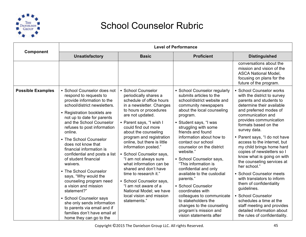

|                          | <b>Level of Performance</b>                                                                                                                                                                                                                                                                                                                                                                                                                                                                                                                                                                                                                                                    |                                                                                                                                                                                                                                                                                                                                                                                                                                                                                                                                                                              |                                                                                                                                                                                                                                                                                                                                                                                                                                                                                                                                                                                                                                    |                                                                                                                                                                                                                                                                                                                                                                                                                                                                                                                                                                                                                                                                                           |
|--------------------------|--------------------------------------------------------------------------------------------------------------------------------------------------------------------------------------------------------------------------------------------------------------------------------------------------------------------------------------------------------------------------------------------------------------------------------------------------------------------------------------------------------------------------------------------------------------------------------------------------------------------------------------------------------------------------------|------------------------------------------------------------------------------------------------------------------------------------------------------------------------------------------------------------------------------------------------------------------------------------------------------------------------------------------------------------------------------------------------------------------------------------------------------------------------------------------------------------------------------------------------------------------------------|------------------------------------------------------------------------------------------------------------------------------------------------------------------------------------------------------------------------------------------------------------------------------------------------------------------------------------------------------------------------------------------------------------------------------------------------------------------------------------------------------------------------------------------------------------------------------------------------------------------------------------|-------------------------------------------------------------------------------------------------------------------------------------------------------------------------------------------------------------------------------------------------------------------------------------------------------------------------------------------------------------------------------------------------------------------------------------------------------------------------------------------------------------------------------------------------------------------------------------------------------------------------------------------------------------------------------------------|
| Component                | <b>Unsatisfactory</b>                                                                                                                                                                                                                                                                                                                                                                                                                                                                                                                                                                                                                                                          | <b>Basic</b>                                                                                                                                                                                                                                                                                                                                                                                                                                                                                                                                                                 | <b>Proficient</b>                                                                                                                                                                                                                                                                                                                                                                                                                                                                                                                                                                                                                  | <b>Distinguished</b>                                                                                                                                                                                                                                                                                                                                                                                                                                                                                                                                                                                                                                                                      |
|                          |                                                                                                                                                                                                                                                                                                                                                                                                                                                                                                                                                                                                                                                                                |                                                                                                                                                                                                                                                                                                                                                                                                                                                                                                                                                                              |                                                                                                                                                                                                                                                                                                                                                                                                                                                                                                                                                                                                                                    | conversations about the<br>mission and vision of the<br><b>ASCA National Model,</b><br>focusing on plans for the<br>future of the program.                                                                                                                                                                                                                                                                                                                                                                                                                                                                                                                                                |
| <b>Possible Examples</b> | • School Counselor does not<br>respond to requests to<br>provide information to the<br>school/district newsletters.<br>• Registration booklets are<br>not up to date for parents<br>and the School Counselor<br>refuses to post information<br>online.<br>• The School Counselor<br>does not know that<br>financial information is<br>confidential and posts a list<br>of student financial<br>waivers.<br>• The School Counselor<br>says, "Why would the<br>counseling program need<br>a vision and mission<br>statement?"<br>• School Counselor says<br>she only sends information<br>to parents via email and if<br>families don't have email at<br>home they can go to the | • School Counselor<br>periodically shares a<br>schedule of office hours<br>in a newsletter. Changes<br>to hours or procedures<br>are not updated.<br>• Parent says, "I wish I<br>could find out more<br>about the counseling<br>program and registration<br>online, but there is little<br>information posted."<br>• School Counselor says,<br>"I am not always sure<br>what information can be<br>shared and don't have<br>time to research it."<br>• School Counselor says,<br>"I am not aware of a<br>National Model; we have<br>local vision and mission<br>statements." | • School Counselor regularly<br>submits articles to the<br>school/district website and<br>community newspapers<br>about the local counseling<br>program.<br>• Student says, "I was<br>struggling with some<br>friends and found<br>information about how to<br>contact our school<br>counselor on the district<br>website."<br>• School Counselor says,<br>"This information is<br>confidential and only<br>available to the custodial<br>parents."<br>• School Counselor<br>coordinates with<br>colleagues to communicate<br>to stakeholders the<br>changes to the counseling<br>program's mission and<br>vision statements after | • School Counselor works<br>with the district to survey<br>parents and students to<br>determine their available<br>and preferred modes of<br>communication and<br>provides communication<br>formats based on the<br>survey data.<br>• Parent says, "I do not have<br>access to the internet, but<br>my child brings home hard<br>copies of newsletters so I<br>know what is going on with<br>the counseling services at<br>her school."<br>• School Counselor meets<br>with translators to inform<br>them of confidentiality<br>guidelines.<br>• School Counselor<br>schedules a time at the<br>staff meeting and provides<br>detailed information about<br>the rules of confidentiality. |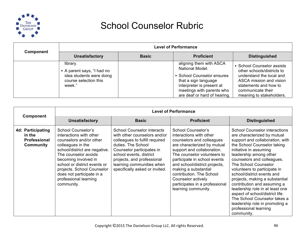

| Component | <b>Level of Performance</b>                                                                           |              |                                                                                                                                                                                            |                                                                                                                                                                                           |  |
|-----------|-------------------------------------------------------------------------------------------------------|--------------|--------------------------------------------------------------------------------------------------------------------------------------------------------------------------------------------|-------------------------------------------------------------------------------------------------------------------------------------------------------------------------------------------|--|
|           | <b>Unsatisfactory</b>                                                                                 | <b>Basic</b> | <b>Proficient</b>                                                                                                                                                                          | <b>Distinguished</b>                                                                                                                                                                      |  |
|           | library.<br>• A parent says, "I had no<br>idea students were doing<br>course selection this<br>week." |              | aligning them with ASCA<br>National Model.<br>• School Counselor ensures<br>that a sign language<br>interpreter is present at<br>meetings with parents who<br>are deaf or hard of hearing. | • School Counselor assists<br>other schools/districts to<br>understand the local and<br>ASCA mission and vision<br>statements and how to<br>communicate their<br>meaning to stakeholders. |  |

| <b>Component</b>                                                       | <b>Unsatisfactory</b>                                                                                                                                                                                                                                                                                            | <b>Basic</b>                                                                                                                                                                                                                                                                   | <b>Proficient</b>                                                                                                                                                                                                                                                                                                                                                                 | <b>Distinguished</b>                                                                                                                                                                                                                                                                                                                                                                                                                                                                                                                                          |
|------------------------------------------------------------------------|------------------------------------------------------------------------------------------------------------------------------------------------------------------------------------------------------------------------------------------------------------------------------------------------------------------|--------------------------------------------------------------------------------------------------------------------------------------------------------------------------------------------------------------------------------------------------------------------------------|-----------------------------------------------------------------------------------------------------------------------------------------------------------------------------------------------------------------------------------------------------------------------------------------------------------------------------------------------------------------------------------|---------------------------------------------------------------------------------------------------------------------------------------------------------------------------------------------------------------------------------------------------------------------------------------------------------------------------------------------------------------------------------------------------------------------------------------------------------------------------------------------------------------------------------------------------------------|
| <b>4d: Participating</b><br>in the<br><b>Professional</b><br>Community | School Counselor's<br>interactions with other<br>counselors and/or other<br>colleagues in the<br>school/district are negative.<br>The counselor avoids<br>becoming involved in<br>school or district events or<br>projects. School Counselor<br>does not participate in a<br>professional learning<br>community. | <b>School Counselor interacts</b><br>with other counselors and/or<br>colleagues to fulfill required<br>duties. The School<br>Counselor participates in<br>school events, district<br>projects, and professional<br>learning communities when<br>specifically asked or invited. | <b>School Counselor's</b><br>interactions with other<br>counselors and colleagues<br>are characterized by mutual<br>support and collaboration.<br>The counselor volunteers to<br>participate in school events<br>and school/district projects,<br>making a substantial<br>contribution. The School<br>Counselor actively<br>participates in a professional<br>learning community. | <b>School Counselor interactions</b><br>are characterized by mutual<br>support and collaboration, with<br>the School Counselor taking<br>initiative in assuming<br>leadership among other<br>counselors and colleagues.<br>The School Counselor<br>volunteers to participate in<br>school/district events and<br>projects, making a substantial<br>contribution and assuming a<br>leadership role in at least one<br>aspect of school/district life.<br>The School Counselor takes a<br>leadership role in promoting a<br>professional learning<br>community. |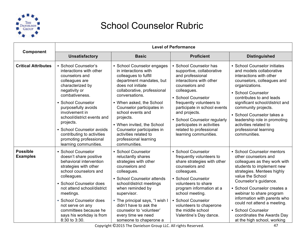

|                                    | <b>Level of Performance</b>                                                                                                                                                                                                                                                                                                                                        |                                                                                                                                                                                                                                                                                                                                                                                                       |                                                                                                                                                                                                                                                                                                                                                          |                                                                                                                                                                                                                                                                                                                                                                                                          |
|------------------------------------|--------------------------------------------------------------------------------------------------------------------------------------------------------------------------------------------------------------------------------------------------------------------------------------------------------------------------------------------------------------------|-------------------------------------------------------------------------------------------------------------------------------------------------------------------------------------------------------------------------------------------------------------------------------------------------------------------------------------------------------------------------------------------------------|----------------------------------------------------------------------------------------------------------------------------------------------------------------------------------------------------------------------------------------------------------------------------------------------------------------------------------------------------------|----------------------------------------------------------------------------------------------------------------------------------------------------------------------------------------------------------------------------------------------------------------------------------------------------------------------------------------------------------------------------------------------------------|
| Component                          | <b>Unsatisfactory</b>                                                                                                                                                                                                                                                                                                                                              | <b>Basic</b>                                                                                                                                                                                                                                                                                                                                                                                          | <b>Proficient</b>                                                                                                                                                                                                                                                                                                                                        | <b>Distinguished</b>                                                                                                                                                                                                                                                                                                                                                                                     |
| <b>Critical Attributes</b>         | • School Counselor's<br>interactions with other<br>counselors and<br>colleagues are<br>characterized by<br>negativity or<br>combativeness.<br>• School Counselor<br>purposefully avoids<br>involvement in<br>school/district events and<br>projects.<br>• School Counselor avoids<br>contributing to activities<br>promoting professional<br>learning communities. | • School Counselor engages<br>in interactions with<br>colleagues to fulfill<br>department mandates, but<br>does not initiate<br>collaborative, professional<br>conversations.<br>• When asked, the School<br>Counselor participates in<br>school events and<br>projects.<br>• When invited, the School<br>Counselor participates in<br>activities related to<br>professional learning<br>communities. | • School Counselor has<br>supportive, collaborative<br>and professional<br>interactions with other<br>counselors and<br>colleagues.<br>• School Counselor<br>frequently volunteers to<br>participate in school events<br>and projects.<br>• School Counselor regularly<br>participates in activities<br>related to professional<br>learning communities. | • School Counselor initiates<br>and models collaborative<br>interactions with other<br>counselors, colleagues and<br>organizations.<br>• School Counselor<br>contributes to and leads<br>significant school/district and<br>community projects.<br>• School Counselor takes a<br>leadership role in promoting<br>activities related to<br>professional learning<br>communities.                          |
| <b>Possible</b><br><b>Examples</b> | • School Counselor<br>doesn't share positive<br>behavioral intervention<br>strategies with other<br>school counselors and<br>colleagues.<br>• School Counselor does<br>not attend school/district<br>meetings.<br>• School Counselor does<br>not serve on any<br>committees because he<br>says his workday is from<br>8:30 to 3:30.                                | • School Counselor<br>reluctantly shares<br>strategies with other<br>counselors and<br>colleagues.<br>• School Counselor attends<br>school/district meetings<br>when reminded by<br>supervisor.<br>• The principal says, "I wish I<br>didn't have to ask the<br>counselor to 'volunteer'<br>every time we need<br>someone to chaperone a                                                              | • School Counselor<br>frequently volunteers to<br>share strategies with other<br>counselors and<br>colleagues.<br>• School Counselor<br>volunteers to share<br>program information at a<br>school meeting.<br>• School Counselor<br>volunteers to chaperone<br>the middle school<br>Valentine's Day dance.                                               | • School Counselor mentors<br>other counselors and<br>colleagues as they work with<br>students to implement new<br>strategies. Mentees highly<br>value the School<br>Counselor's guidance.<br>· School Counselor creates a<br>webinar to share program<br>information with parents who<br>could not attend a meeting.<br>• School Counselor<br>coordinates the Awards Day<br>at the high school, working |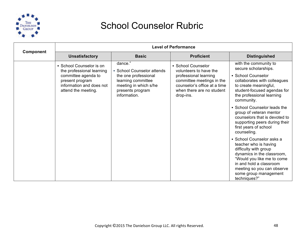

| <b>Unsatisfactory</b><br><b>Basic</b><br><b>Proficient</b><br><b>Distinguished</b><br>dance."<br>with the community to<br>• School Counselor is on<br>• School Counselor<br>secure scholarships.<br>• School Counselor attends<br>the professional learning<br>volunteers to have the<br>• School Counselor<br>committee agenda to<br>the one professional<br>professional learning<br>learning committee<br>committee meetings in the<br>collaborates with colleagues<br>present program<br>information and does not<br>meeting in which s/he<br>counselor's office at a time<br>to create meaningful,<br>attend the meeting.<br>when there are no student<br>student-focused agendas for<br>presents program<br>information.<br>the professional learning<br>drop-ins.<br>community.<br>• School Counselor leads the<br>group of veteran mentor<br>counselors that is devoted to<br>supporting peers during their<br>first years of school<br>counseling.<br>• School Counselor asks a<br>teacher who is having<br>difficulty with group | Component | <b>Level of Performance</b> |  |  |                            |  |
|--------------------------------------------------------------------------------------------------------------------------------------------------------------------------------------------------------------------------------------------------------------------------------------------------------------------------------------------------------------------------------------------------------------------------------------------------------------------------------------------------------------------------------------------------------------------------------------------------------------------------------------------------------------------------------------------------------------------------------------------------------------------------------------------------------------------------------------------------------------------------------------------------------------------------------------------------------------------------------------------------------------------------------------------|-----------|-----------------------------|--|--|----------------------------|--|
|                                                                                                                                                                                                                                                                                                                                                                                                                                                                                                                                                                                                                                                                                                                                                                                                                                                                                                                                                                                                                                            |           |                             |  |  |                            |  |
| "Would you like me to come<br>in and hold a classroom<br>meeting so you can observe<br>some group management                                                                                                                                                                                                                                                                                                                                                                                                                                                                                                                                                                                                                                                                                                                                                                                                                                                                                                                               |           |                             |  |  | dynamics in the classroom, |  |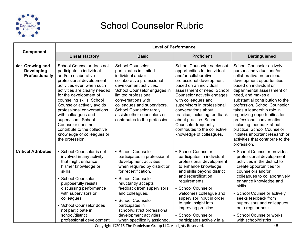

| <b>Component</b>                                       | <b>Level of Performance</b>                                                                                                                                                                                                                                                                                                                                                                                                                     |                                                                                                                                                                                                                                                                                                                                                                     |                                                                                                                                                                                                                                                                                                                                                                                                                                         |                                                                                                                                                                                                                                                                                                                                                                                                                                                                                                                       |
|--------------------------------------------------------|-------------------------------------------------------------------------------------------------------------------------------------------------------------------------------------------------------------------------------------------------------------------------------------------------------------------------------------------------------------------------------------------------------------------------------------------------|---------------------------------------------------------------------------------------------------------------------------------------------------------------------------------------------------------------------------------------------------------------------------------------------------------------------------------------------------------------------|-----------------------------------------------------------------------------------------------------------------------------------------------------------------------------------------------------------------------------------------------------------------------------------------------------------------------------------------------------------------------------------------------------------------------------------------|-----------------------------------------------------------------------------------------------------------------------------------------------------------------------------------------------------------------------------------------------------------------------------------------------------------------------------------------------------------------------------------------------------------------------------------------------------------------------------------------------------------------------|
|                                                        | <b>Unsatisfactory</b>                                                                                                                                                                                                                                                                                                                                                                                                                           | <b>Basic</b>                                                                                                                                                                                                                                                                                                                                                        | <b>Proficient</b>                                                                                                                                                                                                                                                                                                                                                                                                                       | <b>Distinguished</b>                                                                                                                                                                                                                                                                                                                                                                                                                                                                                                  |
| 4e: Growing and<br><b>Developing</b><br>Professionally | School Counselor does not<br>participate in individual<br>and/or collaborative<br>professional development<br>activities even when such<br>activities are clearly needed<br>for the development of<br>counseling skills. School<br>Counselor actively avoids<br>professional conversations<br>with colleagues and<br>supervisors. School<br>Counselor does not<br>contribute to the collective<br>knowledge of colleagues or<br>the profession. | <b>School Counselor</b><br>participates in limited<br>individual and/or<br>collaborative professional<br>development activities.<br>School Counselor engages in<br>limited professional<br>conversations with<br>colleagues and supervisors.<br>School Counselor rarely<br>assists other counselors or<br>contributes to the profession.                            | School Counselor seeks out<br>opportunities for individual<br>and/or collaborative<br>professional development<br>based on an individual<br>assessment of need. School<br>Counselor actively engages<br>with colleagues and<br>supervisors in professional<br>conversations about<br>practice, including feedback<br>about practice. School<br><b>Counselor frequently</b><br>contributes to the collective<br>knowledge of colleagues. | <b>School Counselor actively</b><br>pursues individual and/or<br>collaborative professional<br>development opportunities<br>based on individual or<br>departmental assessment of<br>need, and makes a<br>substantial contribution to the<br>profession. School Counselor<br>takes a leadership role in<br>organizing opportunities for<br>professional conversation,<br>including feedback about<br>practice. School Counselor<br>initiates important research or<br>activities that contribute to the<br>profession. |
| <b>Critical Attributes</b>                             | • School Counselor is not<br>involved in any activity<br>that might enhance<br>his/her knowledge or<br>skills.<br>• School Counselor<br>purposefully resists<br>discussing performance<br>with supervisors or<br>colleagues.<br>• School Counselor does<br>not participate in<br>school/district<br>professional development                                                                                                                    | • School Counselor<br>participates in professional<br>development activities<br>when required by district or<br>for recertification.<br>• School Counselor<br>reluctantly accepts<br>feedback from supervisors<br>and colleagues.<br>• School Counselor<br>participates in<br>school/district professional<br>development activities<br>when specifically assigned, | • School Counselor<br>participates in individual<br>professional development<br>to enhance knowledge<br>and skills beyond district<br>and recertification<br>requirements.<br>• School Counselor<br>welcomes colleague and<br>supervisor input in order<br>to gain insight into<br>improving practice.<br>• School Counselor<br>participates actively in a                                                                              | • School Counselor provides<br>professional development<br>activities in the district to<br>create opportunities for<br>counselors and/or<br>colleagues to collaboratively<br>enhance knowledge and<br>skills.<br>• School Counselor actively<br>seeks feedback from<br>supervisors and colleagues<br>on a regular basis.<br>• School Counselor works<br>with school/district                                                                                                                                         |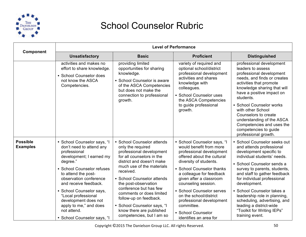

|                                    | <b>Level of Performance</b>                                                                                                                                                                                                                                                                                                                                                |                                                                                                                                                                                                                                                                                                                                                                                                               |                                                                                                                                                                                                                                                                                                                                                                                                        |                                                                                                                                                                                                                                                                                                                                                                                                                                           |
|------------------------------------|----------------------------------------------------------------------------------------------------------------------------------------------------------------------------------------------------------------------------------------------------------------------------------------------------------------------------------------------------------------------------|---------------------------------------------------------------------------------------------------------------------------------------------------------------------------------------------------------------------------------------------------------------------------------------------------------------------------------------------------------------------------------------------------------------|--------------------------------------------------------------------------------------------------------------------------------------------------------------------------------------------------------------------------------------------------------------------------------------------------------------------------------------------------------------------------------------------------------|-------------------------------------------------------------------------------------------------------------------------------------------------------------------------------------------------------------------------------------------------------------------------------------------------------------------------------------------------------------------------------------------------------------------------------------------|
| Component                          | <b>Unsatisfactory</b>                                                                                                                                                                                                                                                                                                                                                      | <b>Basic</b>                                                                                                                                                                                                                                                                                                                                                                                                  | <b>Proficient</b>                                                                                                                                                                                                                                                                                                                                                                                      | <b>Distinguished</b>                                                                                                                                                                                                                                                                                                                                                                                                                      |
|                                    | activities and makes no<br>effort to share knowledge.<br>• School Counselor does<br>not know the ASCA<br>Competencies.                                                                                                                                                                                                                                                     | providing limited<br>opportunities for sharing<br>knowledge.<br>• School Counselor is aware<br>of the ASCA Competencies<br>but does not make the<br>connection to professional<br>growth.                                                                                                                                                                                                                     | variety of required and<br>optional school/district<br>professional development<br>activities and shares<br>knowledge with<br>colleagues.<br>• School Counselor uses<br>the ASCA Competencies<br>to guide professional<br>growth.                                                                                                                                                                      | professional development<br>leaders to assess<br>professional development<br>needs, and finds or creates<br>activities that promote<br>knowledge sharing that will<br>have a positive impact on<br>students.<br>• School Counselor works<br>with other School<br>Counselors to create<br>understanding of the ASCA<br>Competencies and uses the<br>competencies to guide<br>professional growth.                                          |
| <b>Possible</b><br><b>Examples</b> | • School Counselor says, "I<br>don't need to attend any<br>professional<br>development; I earned my<br>degree."<br>• School Counselor refuses<br>to attend the post-<br>observation conference<br>and receive feedback.<br>• School Counselor says,<br>"Local professional<br>development does not<br>apply to me," and does<br>not attend.<br>• School Counselor says, "I | • School Counselor attends<br>only the required<br>professional development<br>for all counselors in the<br>district and doesn't make<br>much use of the materials<br>received.<br>• School Counselor attends<br>the post-observation<br>conference but has few<br>comments or does limited<br>follow-up on feedback.<br>• School Counselor says, "I<br>know there are published<br>competencies, but I am so | · School Counselor says, "I<br>would benefit from more<br>professional development<br>offered about the cultural<br>diversity of students.<br>• School Counselor thanks<br>a colleague for feedback<br>given after a classroom<br>counseling session.<br>• School Counselor serves<br>on the school/district<br>professional development<br>committee.<br>• School Counselor<br>identifies an area for | • School Counselor seeks out<br>and attends professional<br>development specific to<br>individual students' needs.<br>• School Counselor sends a<br>survey to parents, students,<br>and staff to gather feedback<br>for individual professional<br>development.<br>• School Counselor takes a<br>leadership role in planning,<br>scheduling, advertising, and<br>leading a district-wide<br>"Toolkit for Writing IEPs"<br>training event. |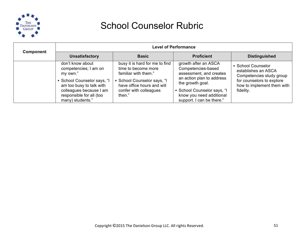

| Component | <b>Level of Performance</b>                                                                                                                                                                 |                                                                                                                                                                              |                                                                                                                                                                                                                |                                                                                                                                               |
|-----------|---------------------------------------------------------------------------------------------------------------------------------------------------------------------------------------------|------------------------------------------------------------------------------------------------------------------------------------------------------------------------------|----------------------------------------------------------------------------------------------------------------------------------------------------------------------------------------------------------------|-----------------------------------------------------------------------------------------------------------------------------------------------|
|           | <b>Unsatisfactory</b>                                                                                                                                                                       | <b>Basic</b>                                                                                                                                                                 | <b>Proficient</b>                                                                                                                                                                                              | <b>Distinguished</b>                                                                                                                          |
|           | don't know about<br>competencies; I am on<br>my own."<br>• School Counselor says, "I<br>am too busy to talk with<br>colleagues because I am<br>responsible for all (too<br>many) students." | busy it is hard for me to find<br>time to become more<br>familiar with them."<br>School Counselor says, "I<br>have office hours and will<br>confer with colleagues<br>then." | growth after an ASCA<br>Competencies-based<br>assessment, and creates<br>an action plan to address<br>the growth goal.<br>• School Counselor says, "I<br>know you need additional<br>support. I can be there." | • School Counselor<br>establishes an ASCA<br>Competencies study group<br>for counselors to explore<br>how to implement them with<br>fidelity. |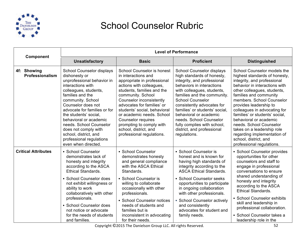

|                                | <b>Level of Performance</b>                                                                                                                                                                                                                                                                                                                                                                             |                                                                                                                                                                                                                                                                                                                                                                                                              |                                                                                                                                                                                                                                                                                                                                                                                                               |                                                                                                                                                                                                                                                                                                                                                                                                                                                                                        |
|--------------------------------|---------------------------------------------------------------------------------------------------------------------------------------------------------------------------------------------------------------------------------------------------------------------------------------------------------------------------------------------------------------------------------------------------------|--------------------------------------------------------------------------------------------------------------------------------------------------------------------------------------------------------------------------------------------------------------------------------------------------------------------------------------------------------------------------------------------------------------|---------------------------------------------------------------------------------------------------------------------------------------------------------------------------------------------------------------------------------------------------------------------------------------------------------------------------------------------------------------------------------------------------------------|----------------------------------------------------------------------------------------------------------------------------------------------------------------------------------------------------------------------------------------------------------------------------------------------------------------------------------------------------------------------------------------------------------------------------------------------------------------------------------------|
| Component                      | <b>Unsatisfactory</b>                                                                                                                                                                                                                                                                                                                                                                                   | <b>Basic</b>                                                                                                                                                                                                                                                                                                                                                                                                 | <b>Proficient</b>                                                                                                                                                                                                                                                                                                                                                                                             | <b>Distinguished</b>                                                                                                                                                                                                                                                                                                                                                                                                                                                                   |
| 4f: Showing<br>Professionalism | School Counselor displays<br>dishonesty or<br>unprofessional behavior in<br>interactions with<br>colleagues, students,<br>families and the<br>community. School<br>Counselor does not<br>advocate for families or for<br>the students' social.<br>behavioral or academic<br>needs. School Counselor<br>does not comply with<br>school, district, and<br>professional regulations<br>even when directed. | <b>School Counselor is honest</b><br>in interactions and<br>appropriate in professional<br>actions with colleagues,<br>students, families and the<br>community. School<br>Counselor inconsistently<br>advocates for families' or<br>students' social, behavioral<br>or academic needs. School<br><b>Counselor requires</b><br>prompting to comply with<br>school, district, and<br>professional regulations. | School Counselor displays<br>high standards of honesty,<br>integrity, and professional<br>behaviors in interactions<br>with colleagues, students,<br>families and the community.<br><b>School Counselor</b><br>consistently advocates for<br>families' or students' social.<br>behavioral or academic<br>needs. School Counselor<br>fully complies with school,<br>district, and professional<br>regulations. | School Counselor models the<br>highest standards of honesty,<br>integrity, and professional<br>behavior in interactions with<br>other colleagues, students,<br>families and community<br>members. School Counselor<br>provides leadership to<br>colleagues in advocating for<br>families' or students' social,<br>behavioral or academic<br>needs. School Counselor<br>takes on a leadership role<br>regarding implementation of<br>school, district, and<br>professional regulations. |
| <b>Critical Attributes</b>     | • School Counselor<br>demonstrates lack of<br>honesty and integrity<br>according to the ASCA<br><b>Ethical Standards.</b><br>• School Counselor does<br>not exhibit willingness or<br>ability to work<br>collaboratively with other<br>professionals.<br>• School Counselor does<br>not notice or advocate<br>for the needs of students<br>and families.                                                | • School Counselor<br>demonstrates honesty<br>and general compliance<br>with the ASCA Ethical<br>Standards.<br>• School Counselor is<br>willing to collaborate<br>occasionally with other<br>professionals.<br>• School Counselor notices<br>needs of students and<br>families but is<br>inconsistent in advocating<br>for their needs.                                                                      | • School Counselor is<br>honest and is known for<br>having high standards of<br>integrity according to the<br><b>ASCA Ethical Standards.</b><br>• School Counselor seeks<br>opportunities to participate<br>in ongoing collaboration<br>with other professionals.<br>• School Counselor actively<br>and consistently<br>advocates for student and<br>family needs.                                            | • School Counselor provides<br>opportunities for other<br>counselors and staff to<br>engage in professional<br>conversations to ensure<br>shared understanding of<br>honesty and integrity<br>according to the ASCA<br><b>Ethical Standards.</b><br>• School Counselor exhibits<br>skill and leadership in<br>professional collaboration.<br>· School Counselor takes a<br>leadership role in the                                                                                      |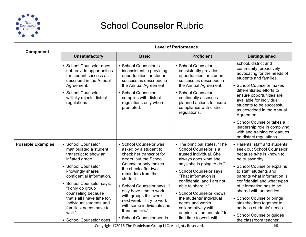

| Component                | <b>Level of Performance</b>                                                                                                                                                                                                                                                                                                                                    |                                                                                                                                                                                                                                                                                                                                                                                      |                                                                                                                                                                                                                                                                                                                                                                                                          |                                                                                                                                                                                                                                                                                                                                                                                                                                      |
|--------------------------|----------------------------------------------------------------------------------------------------------------------------------------------------------------------------------------------------------------------------------------------------------------------------------------------------------------------------------------------------------------|--------------------------------------------------------------------------------------------------------------------------------------------------------------------------------------------------------------------------------------------------------------------------------------------------------------------------------------------------------------------------------------|----------------------------------------------------------------------------------------------------------------------------------------------------------------------------------------------------------------------------------------------------------------------------------------------------------------------------------------------------------------------------------------------------------|--------------------------------------------------------------------------------------------------------------------------------------------------------------------------------------------------------------------------------------------------------------------------------------------------------------------------------------------------------------------------------------------------------------------------------------|
|                          | <b>Unsatisfactory</b>                                                                                                                                                                                                                                                                                                                                          | <b>Basic</b>                                                                                                                                                                                                                                                                                                                                                                         | <b>Proficient</b>                                                                                                                                                                                                                                                                                                                                                                                        | <b>Distinguished</b>                                                                                                                                                                                                                                                                                                                                                                                                                 |
|                          | • School Counselor does<br>not provide opportunities<br>for student success as<br>described in the Annual<br>Agreement.<br>• School Counselor<br>willfully rejects district<br>regulations.                                                                                                                                                                    | • School Counselor is<br>inconsistent in providing<br>opportunities for student<br>success as described in<br>the Annual Agreement.<br>• School Counselor<br>complies with district<br>regulations only when<br>prompted.                                                                                                                                                            | • School Counselor<br>consistently provides<br>opportunities for student<br>success as described in<br>the Annual Agreement.<br>• School Counselor<br>continually assesses<br>planned actions to insure<br>compliance with district<br>regulations.                                                                                                                                                      | school, district and<br>community, proactively<br>advocating for the needs of<br>students and families.<br>• School Counselor makes<br>differentiated efforts to<br>ensure opportunities are<br>available for individual<br>students to be successful<br>as described in the Annual<br>Agreement.<br>• School Counselor takes a<br>leadership role in complying                                                                      |
|                          |                                                                                                                                                                                                                                                                                                                                                                |                                                                                                                                                                                                                                                                                                                                                                                      |                                                                                                                                                                                                                                                                                                                                                                                                          | with and training colleagues<br>on district regulations.                                                                                                                                                                                                                                                                                                                                                                             |
| <b>Possible Examples</b> | • School Counselor<br>manipulated a student<br>transcript to show an<br>inflated grade.<br>• School Counselor<br>knowingly shares<br>confidential information.<br>· School Counselor says,<br>"I only do group<br>counseling because<br>that's all I have time for.<br>Individual students and<br>families' needs have to<br>wait."<br>• School Counselor does | • School Counselor was<br>asked by a student to<br>check her transcript for<br>errors, but the School<br>Counselor only makes<br>the check after two<br>reminders from the<br>student.<br>• School Counselor says, "I<br>only have time to work<br>with groups this week;<br>next week I'll try to work<br>with some individuals and<br>their families."<br>• School Counselor sends | • The principal states, "The<br>School Counselor is a<br>trusted individual. She<br>always does what she<br>says she is going to do."<br>• School Counselor says,<br>"That information is<br>confidential and I am not<br>able to share it."<br>• School Counselor knows<br>the students' individual<br>needs and works<br>collaboratively with<br>administration and staff to<br>find time to work with | • Parents, staff and students<br>seek out School Counselor<br>because s/he is known to<br>be trustworthy.<br>• School Counselor explains<br>to staff, students and<br>parents what information is<br>confidential and what types<br>of information has to be<br>shared with authorities.<br>• School Counselor brings<br>stakeholders together to<br>address students' needs.<br>• School Counselor guides<br>the classroom teacher, |